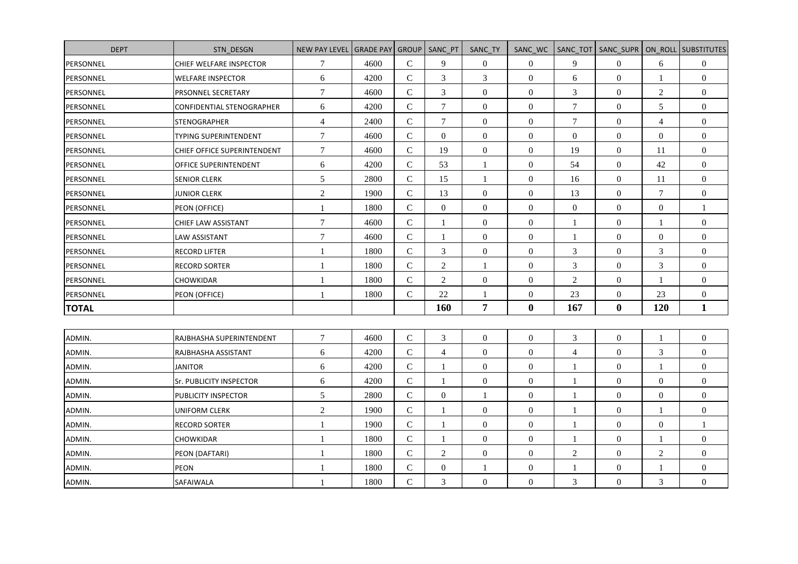| <b>DEPT</b>  | STN DESGN                    | <b>NEW PAY LEVEL</b> | <b>GRADE PAY</b> | GROUP          | SANC PT        | SANC TY          | SANC WC          | SANC TOT                 | SANC SUPR        |                  | ON ROLL SUBSTITUTES |
|--------------|------------------------------|----------------------|------------------|----------------|----------------|------------------|------------------|--------------------------|------------------|------------------|---------------------|
| PERSONNEL    | CHIEF WELFARE INSPECTOR      | $\boldsymbol{7}$     | 4600             | $\mathsf C$    | 9              | $\mathbf{0}$     | $\boldsymbol{0}$ | 9                        | $\boldsymbol{0}$ | 6                | $\boldsymbol{0}$    |
| PERSONNEL    | <b>WELFARE INSPECTOR</b>     | 6                    | 4200             | $\mathsf{C}$   | 3              | $\mathfrak{Z}$   | $\mathbf{0}$     | 6                        | $\boldsymbol{0}$ | 1                | $\boldsymbol{0}$    |
| PERSONNEL    | PRSONNEL SECRETARY           | $\boldsymbol{7}$     | 4600             | $\mathbf C$    | 3              | $\boldsymbol{0}$ | $\boldsymbol{0}$ | 3                        | $\boldsymbol{0}$ | $\overline{2}$   | $\boldsymbol{0}$    |
| PERSONNEL    | CONFIDENTIAL STENOGRAPHER    | 6                    | 4200             | $\mathbf C$    | $\overline{7}$ | $\mathbf{0}$     | $\boldsymbol{0}$ | $\tau$                   | $\overline{0}$   | 5                | $\overline{0}$      |
| PERSONNEL    | <b>STENOGRAPHER</b>          | $\overline{4}$       | 2400             | $\mathsf{C}$   | $\tau$         | $\boldsymbol{0}$ | $\boldsymbol{0}$ | $\boldsymbol{7}$         | $\boldsymbol{0}$ | $\overline{4}$   | $\boldsymbol{0}$    |
| PERSONNEL    | <b>TYPING SUPERINTENDENT</b> | $\overline{7}$       | 4600             | $\mathsf{C}$   | $\Omega$       | $\mathbf{0}$     | $\mathbf{0}$     | $\boldsymbol{0}$         | $\overline{0}$   | $\mathbf{0}$     | $\overline{0}$      |
| PERSONNEL    | CHIEF OFFICE SUPERINTENDENT  | $\boldsymbol{7}$     | 4600             | $\mathbf C$    | 19             | $\boldsymbol{0}$ | $\boldsymbol{0}$ | 19                       | $\boldsymbol{0}$ | 11               | $\boldsymbol{0}$    |
| PERSONNEL    | OFFICE SUPERINTENDENT        | 6                    | 4200             | ${\bf C}$      | 53             | 1                | $\mathbf{0}$     | 54                       | $\mathbf{0}$     | 42               | $\boldsymbol{0}$    |
| PERSONNEL    | <b>SENIOR CLERK</b>          | 5                    | 2800             | $\mathbf C$    | 15             | $\mathbf{1}$     | $\mathbf{0}$     | 16                       | $\overline{0}$   | 11               | $\boldsymbol{0}$    |
| PERSONNEL    | <b>JUNIOR CLERK</b>          | $\overline{2}$       | 1900             | $\mathsf{C}$   | 13             | $\boldsymbol{0}$ | $\boldsymbol{0}$ | 13                       | $\boldsymbol{0}$ | $\tau$           | $\boldsymbol{0}$    |
| PERSONNEL    | PEON (OFFICE)                | $\mathbf{1}$         | 1800             | $\mathbf C$    | $\overline{0}$ | $\mathbf{0}$     | $\mathbf{0}$     | $\boldsymbol{0}$         | $\overline{0}$   | $\mathbf{0}$     | $\mathbf{1}$        |
| PERSONNEL    | CHIEF LAW ASSISTANT          | $\tau$               | 4600             | $\overline{C}$ | 1              | $\boldsymbol{0}$ | $\boldsymbol{0}$ | $\overline{1}$           | $\overline{0}$   | 1                | $\boldsymbol{0}$    |
| PERSONNEL    | LAW ASSISTANT                | $\boldsymbol{7}$     | 4600             | $\mathbf C$    | -1             | $\boldsymbol{0}$ | $\boldsymbol{0}$ | $\mathbf{1}$             | $\overline{0}$   | $\boldsymbol{0}$ | $\boldsymbol{0}$    |
| PERSONNEL    | <b>RECORD LIFTER</b>         | 1                    | 1800             | $\mathbf C$    | 3              | $\boldsymbol{0}$ | $\mathbf{0}$     | 3                        | $\overline{0}$   | 3                | $\overline{0}$      |
| PERSONNEL    | <b>RECORD SORTER</b>         | 1                    | 1800             | $\mathsf{C}$   | $\overline{c}$ | -1               | $\boldsymbol{0}$ | 3                        | $\boldsymbol{0}$ | 3                | $\boldsymbol{0}$    |
| PERSONNEL    | CHOWKIDAR                    | $\mathbf{1}$         | 1800             | $\mathbf C$    | $\overline{2}$ | $\mathbf{0}$     | $\mathbf{0}$     | $\overline{c}$           | $\overline{0}$   | $\mathbf{1}$     | $\overline{0}$      |
| PERSONNEL    | PEON (OFFICE)                | $\mathbf{1}$         | 1800             | $\mathbf C$    | 22             | $\mathbf{1}$     | $\boldsymbol{0}$ | 23                       | $\overline{0}$   | 23               | $\boldsymbol{0}$    |
| <b>TOTAL</b> |                              |                      |                  |                | 160            | $\overline{7}$   | $\bf{0}$         | 167                      | $\bf{0}$         | 120              | $\mathbf{1}$        |
|              |                              |                      |                  |                |                |                  |                  |                          |                  |                  |                     |
| ADMIN.       | RAJBHASHA SUPERINTENDENT     | $\tau$               | 4600             | $\mathbf C$    | 3              | $\boldsymbol{0}$ | $\boldsymbol{0}$ | 3                        | $\boldsymbol{0}$ | 1                | $\boldsymbol{0}$    |
| ADMIN.       | RAJBHASHA ASSISTANT          | 6                    | 4200             | $\mathbf C$    | $\overline{4}$ | $\boldsymbol{0}$ | $\overline{0}$   | $\overline{\mathcal{L}}$ | $\boldsymbol{0}$ | 3                | $\boldsymbol{0}$    |
| ADMIN.       | <b>JANITOR</b>               | 6                    | 4200             | $\mathbf C$    | 1              | $\boldsymbol{0}$ | $\boldsymbol{0}$ | $\mathbf{1}$             | $\boldsymbol{0}$ | $\mathbf{1}$     | $\boldsymbol{0}$    |
| ADMIN.       | Sr. PUBLICITY INSPECTOR      | $\sqrt{6}$           | 4200             | $\mathsf{C}$   | 1              | $\boldsymbol{0}$ | $\boldsymbol{0}$ | $\mathbf{1}$             | $\overline{0}$   | $\mathbf{0}$     | $\overline{0}$      |
| ADMIN.       | PUBLICITY INSPECTOR          | $\sqrt{5}$           | 2800             | $\mathbf C$    | $\overline{0}$ | $\mathbf{1}$     | $\boldsymbol{0}$ | 1                        | $\boldsymbol{0}$ | $\boldsymbol{0}$ | $\boldsymbol{0}$    |
| ADMIN.       | UNIFORM CLERK                | $\overline{2}$       | 1900             | $\mathbf C$    | 1              | $\boldsymbol{0}$ | $\boldsymbol{0}$ | $\mathbf{1}$             | $\boldsymbol{0}$ | 1                | $\boldsymbol{0}$    |
| ADMIN.       | <b>RECORD SORTER</b>         | 1                    | 1900             | $\mathbf C$    | $\mathbf{1}$   | $\boldsymbol{0}$ | $\overline{0}$   | $\mathbf{1}$             | $\boldsymbol{0}$ | $\boldsymbol{0}$ | 1                   |
| ADMIN.       | CHOWKIDAR                    | $\mathbf{1}$         | 1800             | $\mathsf{C}$   | $\mathbf{1}$   | $\boldsymbol{0}$ | $\boldsymbol{0}$ | $\mathbf{1}$             | $\boldsymbol{0}$ | $\mathbf{1}$     | $\boldsymbol{0}$    |
| ADMIN.       | PEON (DAFTARI)               | $\mathbf{1}$         | 1800             | $\mathsf{C}$   | $\overline{2}$ | $\mathbf{0}$     | $\mathbf{0}$     | $\boldsymbol{2}$         | $\overline{0}$   | $\overline{2}$   | $\boldsymbol{0}$    |
| ADMIN.       | PEON                         | $\mathbf{1}$         | 1800             | $\mathbf C$    | $\overline{0}$ | $\mathbf{1}$     | $\boldsymbol{0}$ | 1                        | $\boldsymbol{0}$ | $\mathbf{1}$     | $\boldsymbol{0}$    |
| ADMIN.       | SAFAIWALA                    | 1                    | 1800             | $\mathbf C$    | 3              | $\boldsymbol{0}$ | $\boldsymbol{0}$ | 3                        | $\boldsymbol{0}$ | 3                | $\boldsymbol{0}$    |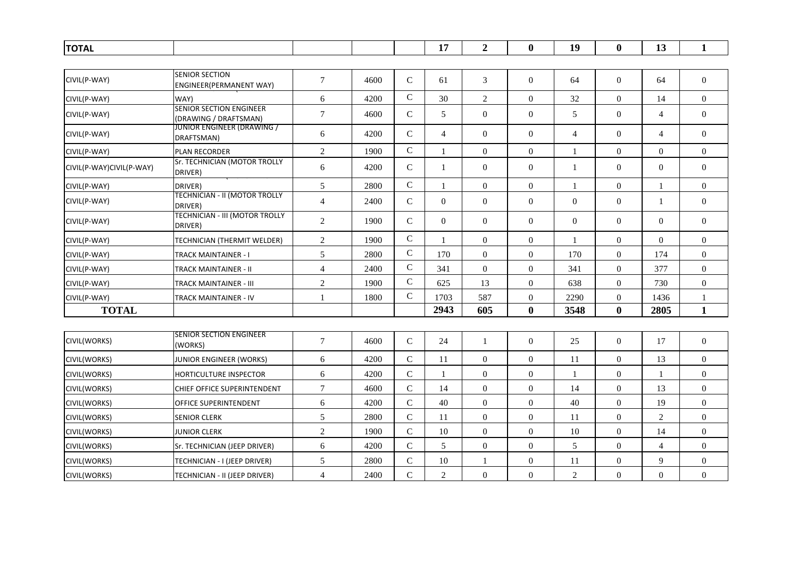| <b>TOTAL</b>             |                                                         |                |      |                | 17             | $\overline{2}$   | $\bf{0}$         | 19             | $\bf{0}$         | 13               | $\mathbf{1}$     |
|--------------------------|---------------------------------------------------------|----------------|------|----------------|----------------|------------------|------------------|----------------|------------------|------------------|------------------|
|                          |                                                         |                |      |                |                |                  |                  |                |                  |                  |                  |
| CIVIL(P-WAY)             | <b>SENIOR SECTION</b><br>ENGINEER(PERMANENT WAY)        | $\tau$         | 4600 | $\mathsf{C}$   | 61             | 3                | $\overline{0}$   | 64             | $\overline{0}$   | 64               | $\mathbf{0}$     |
| CIVIL(P-WAY)             | WAY)                                                    | $6\,$          | 4200 | $\mathbf C$    | 30             | 2                | $\overline{0}$   | 32             | $\boldsymbol{0}$ | 14               | $\boldsymbol{0}$ |
| CIVIL(P-WAY)             | <b>SENIOR SECTION ENGINEER</b><br>(DRAWING / DRAFTSMAN) | $\overline{7}$ | 4600 | $\mathbf C$    | 5              | $\mathbf{0}$     | $\overline{0}$   | 5              | $\mathbf{0}$     | $\overline{4}$   | $\boldsymbol{0}$ |
| CIVIL(P-WAY)             | JUNIOR ENGINEER (DRAWING /<br>DRAFTSMAN)                | 6              | 4200 | $\mathsf{C}$   | $\overline{4}$ | $\overline{0}$   | $\overline{0}$   | $\overline{4}$ | $\overline{0}$   | $\overline{4}$   | $\boldsymbol{0}$ |
| CIVIL(P-WAY)             | PLAN RECORDER                                           | $\sqrt{2}$     | 1900 | $\mathsf C$    | 1              | $\boldsymbol{0}$ | $\overline{0}$   |                | $\boldsymbol{0}$ | $\boldsymbol{0}$ | $\boldsymbol{0}$ |
| CIVIL(P-WAY)CIVIL(P-WAY) | Sr. TECHNICIAN (MOTOR TROLLY<br>DRIVER)                 | $6\,$          | 4200 | ${\bf C}$      | $\mathbf{1}$   | $\overline{0}$   | $\overline{0}$   | -1             | $\boldsymbol{0}$ | $\boldsymbol{0}$ | $\boldsymbol{0}$ |
| CIVIL(P-WAY)             | DRIVER)                                                 | $\mathfrak s$  | 2800 | ${\bf C}$      | $\mathbf{1}$   | $\mathbf{0}$     | $\overline{0}$   | $\overline{1}$ | $\boldsymbol{0}$ | 1                | $\overline{0}$   |
| CIVIL(P-WAY)             | <b>TECHNICIAN - II (MOTOR TROLLY</b><br>DRIVER)         | $\overline{4}$ | 2400 | $\mathsf{C}$   | $\Omega$       | $\mathbf{0}$     | $\overline{0}$   | $\overline{0}$ | $\mathbf{0}$     | $\mathbf{1}$     | $\boldsymbol{0}$ |
| CIVIL(P-WAY)             | TECHNICIAN - III (MOTOR TROLLY<br>DRIVER)               | $\overline{2}$ | 1900 | ${\bf C}$      | $\overline{0}$ | $\mathbf{0}$     | $\overline{0}$   | $\mathbf{0}$   | $\boldsymbol{0}$ | $\overline{0}$   | $\boldsymbol{0}$ |
| CIVIL(P-WAY)             | <b>TECHNICIAN (THERMIT WELDER)</b>                      | $\overline{2}$ | 1900 | $\mathbf C$    | 1              | $\overline{0}$   | $\overline{0}$   |                | $\boldsymbol{0}$ | $\overline{0}$   | $\boldsymbol{0}$ |
| CIVIL(P-WAY)             | TRACK MAINTAINER - I                                    | 5              | 2800 | $\overline{C}$ | 170            | $\boldsymbol{0}$ | $\mathbf{0}$     | 170            | $\mathbf{0}$     | 174              | $\boldsymbol{0}$ |
| CIVIL(P-WAY)             | <b>TRACK MAINTAINER - II</b>                            | $\overline{4}$ | 2400 | ${\bf C}$      | 341            | $\mathbf{0}$     | $\boldsymbol{0}$ | 341            | $\boldsymbol{0}$ | 377              | $\boldsymbol{0}$ |
| CIVIL(P-WAY)             | TRACK MAINTAINER - III                                  | $\overline{2}$ | 1900 | $\mathsf{C}$   | 625            | 13               | $\theta$         | 638            | $\Omega$         | 730              | $\boldsymbol{0}$ |
| CIVIL(P-WAY)             | TRACK MAINTAINER - IV                                   | $\mathbf{1}$   | 1800 | ${\bf C}$      | 1703           | 587              | $\overline{0}$   | 2290           | $\overline{0}$   | 1436             | 1                |
| <b>TOTAL</b>             |                                                         |                |      |                | 2943           | 605              | $\mathbf{0}$     | 3548           | $\bf{0}$         | 2805             | $\mathbf{1}$     |
|                          |                                                         |                |      |                |                |                  |                  |                |                  |                  |                  |
| CIVIL(WORKS)             | SENIOR SECTION ENGINEER<br>(WORKS)                      | $\tau$         | 4600 | $\mathbf C$    | 24             | $\mathbf{1}$     | $\mathbf{0}$     | 25             | $\boldsymbol{0}$ | 17               | $\boldsymbol{0}$ |
| CIVIL(WORKS)             | JUNIOR ENGINEER (WORKS)                                 | $6\,$          | 4200 | $\mathbf C$    | 11             | $\boldsymbol{0}$ | $\overline{0}$   | 11             | $\mathbf{0}$     | 13               | $\boldsymbol{0}$ |
| CIVIL(WORKS)             | <b>HORTICULTURE INSPECTOR</b>                           | $6\,$          | 4200 | ${\bf C}$      | 1              | $\boldsymbol{0}$ | $\mathbf{0}$     | $\mathbf{1}$   | $\boldsymbol{0}$ | $\mathbf{1}$     | $\boldsymbol{0}$ |
| CIVIL(WORKS)             | CHIEF OFFICE SUPERINTENDENT                             | $\tau$         | 4600 | $\overline{C}$ | 14             | $\boldsymbol{0}$ | $\overline{0}$   | 14             | $\overline{0}$   | 13               | $\boldsymbol{0}$ |
| CIVIL(WORKS)             | OFFICE SUPERINTENDENT                                   | $6\,$          | 4200 | $\mathbf C$    | 40             | $\overline{0}$   | $\overline{0}$   | 40             | $\overline{0}$   | 19               | $\boldsymbol{0}$ |
| CIVIL(WORKS)             | <b>SENIOR CLERK</b>                                     | 5              | 2800 | $\overline{C}$ | 11             | $\boldsymbol{0}$ | $\overline{0}$   | 11             | $\mathbf{0}$     | $\overline{2}$   | $\boldsymbol{0}$ |
| CIVIL(WORKS)             | <b>JUNIOR CLERK</b>                                     | $\overline{c}$ | 1900 | $\mathsf{C}$   | 10             | $\overline{0}$   | $\overline{0}$   | 10             | $\boldsymbol{0}$ | 14               | $\boldsymbol{0}$ |
| CIVIL(WORKS)             | Sr. TECHNICIAN (JEEP DRIVER)                            | 6              | 4200 | $\mathsf{C}$   | 5              | $\mathbf{0}$     | $\overline{0}$   | 5              | $\overline{0}$   | $\overline{4}$   | $\overline{0}$   |
| CIVIL(WORKS)             | TECHNICIAN - I (JEEP DRIVER)                            | 5              | 2800 | $\mathbf C$    | 10             | -1               | $\overline{0}$   | 11             | $\boldsymbol{0}$ | 9                | $\boldsymbol{0}$ |
| CIVIL(WORKS)             | TECHNICIAN - II (JEEP DRIVER)                           | $\overline{4}$ | 2400 | $\overline{C}$ | $\overline{2}$ | $\mathbf{0}$     | $\Omega$         | $\overline{2}$ | $\overline{0}$   | $\overline{0}$   | $\boldsymbol{0}$ |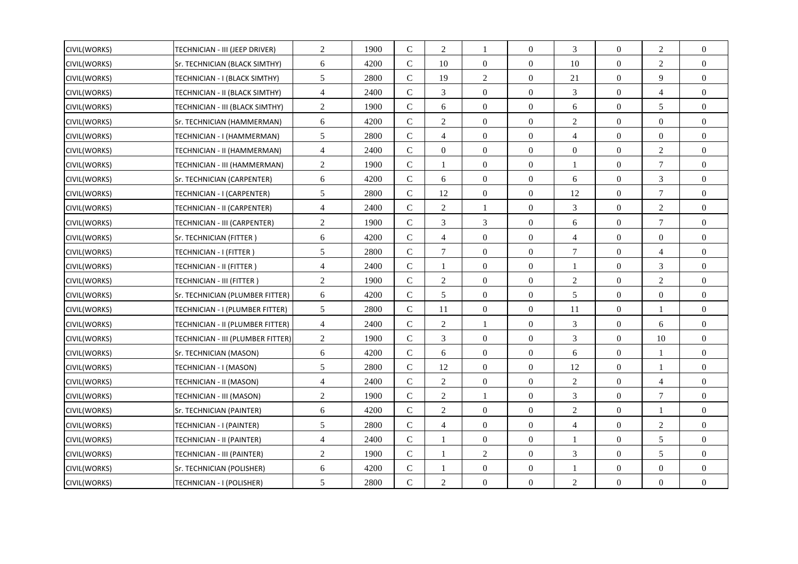| CIVIL(WORKS)        | TECHNICIAN - III (JEEP DRIVER)    | $\overline{c}$   | 1900 | $\mathcal{C}$ | 2              | 1                | $\theta$         | 3                        | $\Omega$         | $\overline{2}$ | $\Omega$         |
|---------------------|-----------------------------------|------------------|------|---------------|----------------|------------------|------------------|--------------------------|------------------|----------------|------------------|
| CIVIL(WORKS)        | Sr. TECHNICIAN (BLACK SIMTHY)     | 6                | 4200 | $\mathbf C$   | 10             | $\overline{0}$   | $\overline{0}$   | 10                       | $\mathbf{0}$     | $\overline{2}$ | $\overline{0}$   |
| CIVIL(WORKS)        | TECHNICIAN - I (BLACK SIMTHY)     | $\mathfrak{S}$   | 2800 | $\mathbf C$   | 19             | $\overline{c}$   | $\overline{0}$   | 21                       | $\overline{0}$   | 9              | $\overline{0}$   |
| CIVIL(WORKS)        | TECHNICIAN - II (BLACK SIMTHY)    | $\overline{4}$   | 2400 | $\mathcal{C}$ | 3              | $\overline{0}$   | $\overline{0}$   | 3                        | $\overline{0}$   | $\overline{4}$ | $\overline{0}$   |
| CIVIL(WORKS)        | TECHNICIAN - III (BLACK SIMTHY)   | $\overline{2}$   | 1900 | $\mathsf{C}$  | 6              | $\boldsymbol{0}$ | $\overline{0}$   | 6                        | $\boldsymbol{0}$ | 5              | $\overline{0}$   |
| CIVIL(WORKS)        | Sr. TECHNICIAN (HAMMERMAN)        | 6                | 4200 | $\mathsf{C}$  | 2              | $\overline{0}$   | $\overline{0}$   | 2                        | $\mathbf{0}$     | $\Omega$       | $\overline{0}$   |
| CIVIL(WORKS)        | TECHNICIAN - I (HAMMERMAN)        | 5                | 2800 | $\mathsf{C}$  | $\overline{4}$ | $\boldsymbol{0}$ | $\overline{0}$   | 4                        | $\boldsymbol{0}$ | $\overline{0}$ | $\overline{0}$   |
| CIVIL(WORKS)        | TECHNICIAN - II (HAMMERMAN)       | $\overline{4}$   | 2400 | $\mathbf C$   | $\overline{0}$ | $\boldsymbol{0}$ | $\boldsymbol{0}$ | $\mathbf{0}$             | $\boldsymbol{0}$ | $\overline{2}$ | $\overline{0}$   |
| <b>CIVIL(WORKS)</b> | TECHNICIAN - III (HAMMERMAN)      | $\overline{c}$   | 1900 | $\mathsf{C}$  | $\mathbf{1}$   | $\overline{0}$   | $\overline{0}$   | $\mathbf{1}$             | $\Omega$         | $\overline{7}$ | $\Omega$         |
| CIVIL(WORKS)        | Sr. TECHNICIAN (CARPENTER)        | 6                | 4200 | $\mathsf{C}$  | 6              | $\boldsymbol{0}$ | $\overline{0}$   | 6                        | $\boldsymbol{0}$ | 3              | $\overline{0}$   |
| CIVIL(WORKS)        | TECHNICIAN - I (CARPENTER)        | 5                | 2800 | ${\bf C}$     | 12             | $\overline{0}$   | $\overline{0}$   | 12                       | $\mathbf{0}$     | $\overline{7}$ | $\Omega$         |
| CIVIL(WORKS)        | TECHNICIAN - II (CARPENTER)       | $\overline{4}$   | 2400 | $\mathcal{C}$ | $\overline{2}$ |                  | $\overline{0}$   | 3                        | $\mathbf{0}$     | $\overline{2}$ | $\overline{0}$   |
| CIVIL(WORKS)        | TECHNICIAN - III (CARPENTER)      | $\mathbf{2}$     | 1900 | $\mathbf C$   | 3              | $\mathfrak{Z}$   | $\boldsymbol{0}$ | 6                        | $\boldsymbol{0}$ | $\tau$         | $\overline{0}$   |
| <b>CIVIL(WORKS)</b> | Sr. TECHNICIAN (FITTER)           | 6                | 4200 | $\mathsf{C}$  | $\overline{4}$ | $\overline{0}$   | $\overline{0}$   | $\overline{4}$           | $\Omega$         | $\overline{0}$ | $\Omega$         |
| CIVIL(WORKS)        | TECHNICIAN - I (FITTER )          | $\mathfrak{S}$   | 2800 | $\mathsf{C}$  | 7              | $\boldsymbol{0}$ | $\overline{0}$   | 7                        | $\overline{0}$   | $\overline{4}$ | $\overline{0}$   |
| CIVIL(WORKS)        | TECHNICIAN - II (FITTER )         | $\overline{4}$   | 2400 | $\mathbf C$   | $\mathbf{1}$   | $\boldsymbol{0}$ | $\boldsymbol{0}$ | -1                       | $\boldsymbol{0}$ | 3              | $\Omega$         |
| <b>CIVIL(WORKS)</b> | TECHNICIAN - III (FITTER )        | 2                | 1900 | $\mathcal{C}$ | 2              | $\overline{0}$   | $\overline{0}$   | 2                        | $\overline{0}$   | 2              | $\overline{0}$   |
| <b>CIVIL(WORKS)</b> | Sr. TECHNICIAN (PLUMBER FITTER)   | 6                | 4200 | ${\bf C}$     | 5              | $\boldsymbol{0}$ | $\overline{0}$   | 5                        | $\boldsymbol{0}$ | $\overline{0}$ | $\boldsymbol{0}$ |
| CIVIL(WORKS)        | TECHNICIAN - I (PLUMBER FITTER)   | 5                | 2800 | $\mathsf{C}$  | 11             | $\overline{0}$   | $\overline{0}$   | 11                       | $\mathbf{0}$     | $\mathbf{1}$   | $\overline{0}$   |
| CIVIL(WORKS)        | TECHNICIAN - II (PLUMBER FITTER)  | $\overline{4}$   | 2400 | $\mathsf{C}$  | 2              | 1                | $\overline{0}$   | 3                        | $\boldsymbol{0}$ | 6              | $\overline{0}$   |
| CIVIL(WORKS)        | TECHNICIAN - III (PLUMBER FITTER) | $\mathbf{2}$     | 1900 | $\mathbf C$   | $\mathfrak{Z}$ | $\boldsymbol{0}$ | $\boldsymbol{0}$ | 3                        | $\boldsymbol{0}$ | $10\,$         | $\overline{0}$   |
| CIVIL(WORKS)        | Sr. TECHNICIAN (MASON)            | 6                | 4200 | $\mathcal{C}$ | 6              | $\overline{0}$   | $\overline{0}$   | 6                        | $\overline{0}$   | $\mathbf{1}$   | $\Omega$         |
| CIVIL(WORKS)        | TECHNICIAN - I (MASON)            | 5                | 2800 | $\mathbf C$   | 12             | $\boldsymbol{0}$ | $\overline{0}$   | 12                       | $\boldsymbol{0}$ | -1             | $\overline{0}$   |
| CIVIL(WORKS)        | TECHNICIAN - II (MASON)           | $\overline{4}$   | 2400 | $\mathbf C$   | $\overline{2}$ | $\overline{0}$   | $\overline{0}$   | $\mathfrak{2}$           | $\overline{0}$   | $\overline{4}$ | $\overline{0}$   |
| CIVIL(WORKS)        | TECHNICIAN - III (MASON)          | $\boldsymbol{2}$ | 1900 | $\mathcal{C}$ | $\overline{2}$ |                  | $\overline{0}$   | 3                        | $\mathbf{0}$     | $\tau$         | $\overline{0}$   |
| CIVIL(WORKS)        | Sr. TECHNICIAN (PAINTER)          | 6                | 4200 | ${\bf C}$     | $\mathfrak{2}$ | $\boldsymbol{0}$ | $\boldsymbol{0}$ | $\mathfrak{2}$           | $\boldsymbol{0}$ | $\mathbf{1}$   | $\boldsymbol{0}$ |
| CIVIL(WORKS)        | TECHNICIAN - I (PAINTER)          | 5                | 2800 | $\mathcal{C}$ | $\overline{4}$ | $\overline{0}$   | $\overline{0}$   | 4                        | $\overline{0}$   | $\overline{2}$ | $\Omega$         |
| CIVIL(WORKS)        | TECHNICIAN - II (PAINTER)         | 4                | 2400 | $\mathbf C$   | 1              | $\boldsymbol{0}$ | $\overline{0}$   |                          | $\overline{0}$   | 5              | $\overline{0}$   |
| <b>CIVIL(WORKS)</b> | TECHNICIAN - III (PAINTER)        | 2                | 1900 | $\mathcal{C}$ | $\mathbf{1}$   | 2                | $\overline{0}$   | 3                        | $\overline{0}$   | 5              | $\Omega$         |
| CIVIL(WORKS)        | Sr. TECHNICIAN (POLISHER)         | $\sqrt{6}$       | 4200 | $\mathsf{C}$  | 1              | $\boldsymbol{0}$ | $\overline{0}$   | $\overline{\phantom{a}}$ | $\overline{0}$   | $\overline{0}$ | $\overline{0}$   |
| CIVIL(WORKS)        | TECHNICIAN - I (POLISHER)         | 5                | 2800 | $\mathbf C$   | $\overline{c}$ | $\boldsymbol{0}$ | $\Omega$         | $\overline{2}$           | $\Omega$         | $\Omega$       | $\Omega$         |
|                     |                                   |                  |      |               |                |                  |                  |                          |                  |                |                  |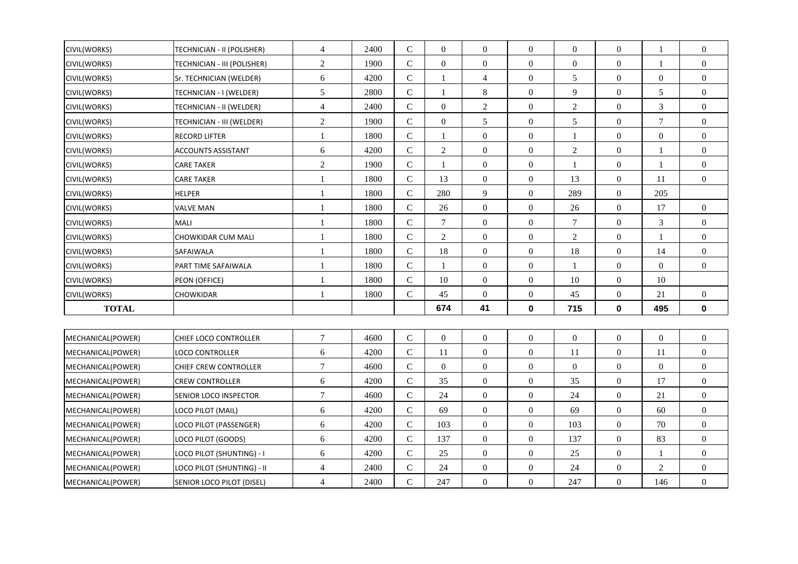| CIVIL(WORKS)        | TECHNICIAN - II (POLISHER)  | $\overline{4}$ | 2400 | ${\bf C}$      | $\boldsymbol{0}$ | $\mathbf{0}$     | $\Omega$         | $\mathbf{0}$     | $\boldsymbol{0}$ | $\mathbf{1}$     | $\mathbf{0}$     |
|---------------------|-----------------------------|----------------|------|----------------|------------------|------------------|------------------|------------------|------------------|------------------|------------------|
| <b>CIVIL(WORKS)</b> | TECHNICIAN - III (POLISHER) | $\overline{2}$ | 1900 | $\overline{C}$ | $\Omega$         | $\overline{0}$   | $\overline{0}$   | $\mathbf{0}$     | $\mathbf{0}$     | $\mathbf{1}$     | $\overline{0}$   |
| <b>CIVIL(WORKS)</b> | Sr. TECHNICIAN (WELDER)     | 6              | 4200 | ${\bf C}$      | $\mathbf{1}$     | $\overline{4}$   | $\overline{0}$   | 5                | $\boldsymbol{0}$ | $\boldsymbol{0}$ | $\boldsymbol{0}$ |
| CIVIL(WORKS)        | TECHNICIAN - I (WELDER)     | 5              | 2800 | $\mathbf C$    | 1                | 8                | $\overline{0}$   | 9                | $\boldsymbol{0}$ | 5                | $\boldsymbol{0}$ |
| CIVIL(WORKS)        | TECHNICIAN - II (WELDER)    | $\overline{4}$ | 2400 | ${\bf C}$      | $\overline{0}$   | $\overline{c}$   | $\overline{0}$   | 2                | $\mathbf{0}$     | 3                | $\boldsymbol{0}$ |
| CIVIL(WORKS)        | TECHNICIAN - III (WELDER)   | $\overline{2}$ | 1900 | $\overline{C}$ | $\boldsymbol{0}$ | 5                | $\overline{0}$   | 5                | $\mathbf{0}$     | $\overline{7}$   | $\boldsymbol{0}$ |
| CIVIL(WORKS)        | RECORD LIFTER               | $\mathbf{1}$   | 1800 | $\mathbf C$    | 1                | $\boldsymbol{0}$ | $\overline{0}$   |                  | $\boldsymbol{0}$ | $\boldsymbol{0}$ | $\boldsymbol{0}$ |
| CIVIL(WORKS)        | <b>ACCOUNTS ASSISTANT</b>   | 6              | 4200 | ${\bf C}$      | $\sqrt{2}$       | $\boldsymbol{0}$ | $\overline{0}$   | $\boldsymbol{2}$ | $\boldsymbol{0}$ |                  | $\boldsymbol{0}$ |
| CIVIL(WORKS)        | <b>CARE TAKER</b>           | $\overline{c}$ | 1900 | $\overline{C}$ | 1                | $\mathbf{0}$     | $\overline{0}$   | 1                | $\boldsymbol{0}$ | 1                | $\boldsymbol{0}$ |
| <b>CIVIL(WORKS)</b> | <b>CARE TAKER</b>           | $\mathbf{1}$   | 1800 | ${\bf C}$      | 13               | $\mathbf{0}$     | $\overline{0}$   | 13               | $\mathbf{0}$     | 11               | $\boldsymbol{0}$ |
| CIVIL(WORKS)        | <b>HELPER</b>               | $\mathbf{1}$   | 1800 | $\mathbf C$    | 280              | 9                | $\overline{0}$   | 289              | $\boldsymbol{0}$ | 205              |                  |
| CIVIL(WORKS)        | <b>VALVE MAN</b>            | $\mathbf{1}$   | 1800 | ${\bf C}$      | 26               | $\mathbf{0}$     | $\overline{0}$   | 26               | $\boldsymbol{0}$ | 17               | $\overline{0}$   |
| CIVIL(WORKS)        | <b>MALI</b>                 | $\mathbf{1}$   | 1800 | $\overline{C}$ | $\overline{7}$   | $\boldsymbol{0}$ | $\boldsymbol{0}$ | $\overline{7}$   | $\mathbf{0}$     | $\mathfrak{Z}$   | $\boldsymbol{0}$ |
| CIVIL(WORKS)        | CHOWKIDAR CUM MALI          | $\mathbf{1}$   | 1800 | $\mathbf C$    | $\overline{2}$   | $\boldsymbol{0}$ | $\overline{0}$   | $\boldsymbol{2}$ | $\boldsymbol{0}$ | $\overline{1}$   | $\boldsymbol{0}$ |
| CIVIL(WORKS)        | SAFAIWALA                   | 1              | 1800 | $\mathbf C$    | 18               | $\boldsymbol{0}$ | $\overline{0}$   | 18               | $\boldsymbol{0}$ | 14               | $\boldsymbol{0}$ |
| CIVIL(WORKS)        | PART TIME SAFAIWALA         | 1              | 1800 | $\mathbf C$    | $\mathbf{1}$     | $\mathbf{0}$     | $\overline{0}$   | -1               | $\mathbf{0}$     | $\boldsymbol{0}$ | $\boldsymbol{0}$ |
| <b>CIVIL(WORKS)</b> | PEON (OFFICE)               | $\mathbf{1}$   | 1800 | $\overline{C}$ | 10               | $\boldsymbol{0}$ | $\boldsymbol{0}$ | 10               | $\boldsymbol{0}$ | 10               |                  |
| CIVIL(WORKS)        | CHOWKIDAR                   | $\mathbf{1}$   | 1800 | $\mathbf C$    | 45               | $\boldsymbol{0}$ | $\overline{0}$   | 45               | $\boldsymbol{0}$ | 21               | $\boldsymbol{0}$ |
| <b>TOTAL</b>        |                             |                |      |                | 674              | 41               | $\mathbf 0$      | 715              | $\mathbf 0$      | 495              | $\mathbf 0$      |
|                     |                             |                |      |                |                  |                  |                  |                  |                  |                  |                  |
| MECHANICAL(POWER)   | CHIEF LOCO CONTROLLER       | $\tau$         | 4600 | $\mathbf C$    | $\overline{0}$   | $\overline{0}$   | $\overline{0}$   | $\mathbf{0}$     | $\boldsymbol{0}$ | $\boldsymbol{0}$ | $\boldsymbol{0}$ |
| MECHANICAL(POWER)   | <b>LOCO CONTROLLER</b>      | $6\,$          | 4200 | $\mathbf C$    | 11               | $\boldsymbol{0}$ | $\overline{0}$   | 11               | $\boldsymbol{0}$ | 11               | $\boldsymbol{0}$ |
| MECHANICAL(POWER)   | CHIEF CREW CONTROLLER       | $\tau$         | 4600 | $\mathbf C$    | $\overline{0}$   | $\mathbf{0}$     | $\overline{0}$   | $\theta$         | $\boldsymbol{0}$ | $\overline{0}$   | $\boldsymbol{0}$ |
| MECHANICAL(POWER)   | <b>CREW CONTROLLER</b>      | 6              | 4200 | ${\bf C}$      | 35               | $\boldsymbol{0}$ | $\overline{0}$   | 35               | $\mathbf{0}$     | 17               | $\boldsymbol{0}$ |
| MECHANICAL(POWER)   | SENIOR LOCO INSPECTOR       | $\tau$         | 4600 | $\mathbf C$    | 24               | $\mathbf{0}$     | $\mathbf{0}$     | 24               | $\boldsymbol{0}$ | 21               | $\boldsymbol{0}$ |
| MECHANICAL(POWER)   | LOCO PILOT (MAIL)           | 6              | 4200 | $\mathbf C$    | 69               | $\boldsymbol{0}$ | $\overline{0}$   | 69               | $\boldsymbol{0}$ | 60               | $\mathbf{0}$     |
| MECHANICAL(POWER)   | LOCO PILOT (PASSENGER)      | 6              | 4200 | $\mathbf C$    | 103              | $\mathbf{0}$     | $\overline{0}$   | 103              | $\mathbf{0}$     | 70               | $\boldsymbol{0}$ |
| MECHANICAL(POWER)   | LOCO PILOT (GOODS)          | 6              | 4200 | ${\bf C}$      | 137              | $\boldsymbol{0}$ | $\overline{0}$   | 137              | $\boldsymbol{0}$ | 83               | $\boldsymbol{0}$ |
| MECHANICAL(POWER)   | LOCO PILOT (SHUNTING) - I   | 6              | 4200 | $\mathbf C$    | 25               | $\boldsymbol{0}$ | $\overline{0}$   | 25               | $\boldsymbol{0}$ | 1                | $\boldsymbol{0}$ |
| MECHANICAL(POWER)   | LOCO PILOT (SHUNTING) - II  | 4              | 2400 | $\mathbf C$    | 24               | $\mathbf{0}$     | $\overline{0}$   | 24               | $\mathbf{0}$     | 2                | $\overline{0}$   |
| MECHANICAL(POWER)   | SENIOR LOCO PILOT (DISEL)   | $\overline{4}$ | 2400 | $\overline{C}$ | 247              | $\mathbf{0}$     | $\overline{0}$   | 247              | $\mathbf{0}$     | 146              | $\boldsymbol{0}$ |

г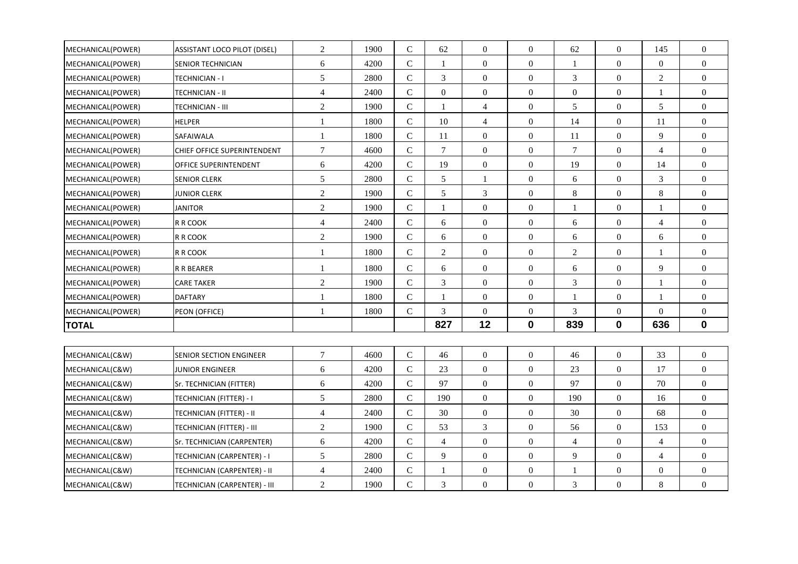| MECHANICAL(POWER) | <b>ASSISTANT LOCO PILOT (DISEL)</b> | $\sqrt{2}$       | 1900 | $\mathsf{C}$ | 62               | $\overline{0}$   | $\overline{0}$   | 62               | $\overline{0}$   | 145              | $\overline{0}$   |
|-------------------|-------------------------------------|------------------|------|--------------|------------------|------------------|------------------|------------------|------------------|------------------|------------------|
| MECHANICAL(POWER) | <b>SENIOR TECHNICIAN</b>            | $\sqrt{6}$       | 4200 | $\mathbf C$  | -1               | $\overline{0}$   | $\overline{0}$   | 1                | $\overline{0}$   | $\overline{0}$   | $\mathbf{0}$     |
| MECHANICAL(POWER) | <b>TECHNICIAN - I</b>               | $\mathfrak{S}$   | 2800 | $\mathsf{C}$ | 3                | $\overline{0}$   | $\overline{0}$   | 3                | $\overline{0}$   | $\overline{c}$   | $\overline{0}$   |
| MECHANICAL(POWER) | TECHNICIAN - II                     | $\overline{4}$   | 2400 | $\mathbf C$  | $\boldsymbol{0}$ | $\overline{0}$   | $\mathbf{0}$     | $\boldsymbol{0}$ | $\boldsymbol{0}$ | 1                | $\boldsymbol{0}$ |
| MECHANICAL(POWER) | TECHNICIAN - III                    | $\sqrt{2}$       | 1900 | $\mathbf C$  | $\mathbf{1}$     | $\overline{4}$   | $\overline{0}$   | $\mathfrak s$    | $\boldsymbol{0}$ | 5                | $\overline{0}$   |
| MECHANICAL(POWER) | <b>HELPER</b>                       | $\mathbf{1}$     | 1800 | $\mathsf{C}$ | 10               | 4                | $\overline{0}$   | 14               | $\overline{0}$   | 11               | $\Omega$         |
| MECHANICAL(POWER) | SAFAIWALA                           | 1                | 1800 | $\mathbf C$  | 11               | $\overline{0}$   | $\overline{0}$   | 11               | $\boldsymbol{0}$ | 9                | $\boldsymbol{0}$ |
| MECHANICAL(POWER) | CHIEF OFFICE SUPERINTENDENT         | $\boldsymbol{7}$ | 4600 | $\mathbf C$  | $\overline{7}$   | $\boldsymbol{0}$ | $\boldsymbol{0}$ | $\tau$           | $\boldsymbol{0}$ | $\overline{4}$   | $\boldsymbol{0}$ |
| MECHANICAL(POWER) | OFFICE SUPERINTENDENT               | 6                | 4200 | $\mathsf{C}$ | 19               | $\theta$         | $\Omega$         | 19               | $\mathbf{0}$     | 14               | $\Omega$         |
| MECHANICAL(POWER) | <b>SENIOR CLERK</b>                 | $\mathfrak{S}$   | 2800 | $\mathbf C$  | 5                | 1                | $\overline{0}$   | 6                | $\boldsymbol{0}$ | 3                | $\mathbf{0}$     |
| MECHANICAL(POWER) | <b>JUNIOR CLERK</b>                 | $\sqrt{2}$       | 1900 | $\mathbf C$  | 5                | 3                | $\mathbf{0}$     | 8                | $\mathbf{0}$     | 8                | $\boldsymbol{0}$ |
| MECHANICAL(POWER) | <b>JANITOR</b>                      | $\sqrt{2}$       | 1900 | $\mathbf C$  | $\mathbf{1}$     | $\overline{0}$   | $\overline{0}$   | 1                | $\overline{0}$   | 1                | $\boldsymbol{0}$ |
| MECHANICAL(POWER) | R R COOK                            | $\overline{4}$   | 2400 | $\mathbf C$  | 6                | $\overline{0}$   | $\overline{0}$   | 6                | $\boldsymbol{0}$ | $\overline{4}$   | $\overline{0}$   |
| MECHANICAL(POWER) | R R COOK                            | $\mathbf{2}$     | 1900 | $\mathbf C$  | 6                | $\overline{0}$   | $\boldsymbol{0}$ | 6                | $\overline{0}$   | 6                | $\mathbf{0}$     |
| MECHANICAL(POWER) | R R COOK                            | $\mathbf{1}$     | 1800 | $\mathbf C$  | 2                | $\boldsymbol{0}$ | $\overline{0}$   | $\overline{c}$   | $\boldsymbol{0}$ | -1               | $\mathbf{0}$     |
| MECHANICAL(POWER) | R R BEARER                          | 1                | 1800 | $\mathbf C$  | 6                | $\overline{0}$   | $\overline{0}$   | 6                | $\mathbf{0}$     | 9                | $\overline{0}$   |
| MECHANICAL(POWER) | <b>CARE TAKER</b>                   | $\sqrt{2}$       | 1900 | $\mathbf C$  | 3                | $\boldsymbol{0}$ | $\boldsymbol{0}$ | $\mathfrak 3$    | $\boldsymbol{0}$ | -1               | $\boldsymbol{0}$ |
| MECHANICAL(POWER) | <b>DAFTARY</b>                      | $\mathbf{1}$     | 1800 | $\mathsf{C}$ | $\mathbf{1}$     | $\overline{0}$   | $\overline{0}$   | 1                | $\Omega$         | 1                | $\Omega$         |
| MECHANICAL(POWER) | PEON (OFFICE)                       | $\mathbf{1}$     | 1800 | $\mathbf C$  | 3                | $\overline{0}$   | $\boldsymbol{0}$ | 3                | $\boldsymbol{0}$ | $\overline{0}$   | $\mathbf{0}$     |
| <b>TOTAL</b>      |                                     |                  |      |              | 827              | 12               | $\mathbf 0$      | 839              | $\mathbf 0$      | 636              | $\mathbf 0$      |
|                   |                                     |                  |      |              |                  |                  |                  |                  |                  |                  |                  |
| MECHANICAL(C&W)   | <b>SENIOR SECTION ENGINEER</b>      | $\boldsymbol{7}$ | 4600 | $\mathbf C$  | 46               | $\overline{0}$   | $\overline{0}$   | 46               | $\boldsymbol{0}$ | 33               | $\overline{0}$   |
| MECHANICAL(C&W)   | <b>JUNIOR ENGINEER</b>              | 6                | 4200 | $\mathbf C$  | 23               | $\boldsymbol{0}$ | $\boldsymbol{0}$ | 23               | $\overline{0}$   | 17               | $\overline{0}$   |
| MECHANICAL(C&W)   | Sr. TECHNICIAN (FITTER)             | $\sqrt{6}$       | 4200 | $\mathbf C$  | 97               | $\overline{0}$   | $\boldsymbol{0}$ | 97               | $\boldsymbol{0}$ | 70               | $\mathbf{0}$     |
| MECHANICAL(C&W)   | TECHNICIAN (FITTER) - I             | $\mathfrak{S}$   | 2800 | $\mathbf C$  | 190              | $\overline{0}$   | $\overline{0}$   | 190              | $\overline{0}$   | 16               | $\overline{0}$   |
| MECHANICAL(C&W)   | TECHNICIAN (FITTER) - II            | $\overline{4}$   | 2400 | $\mathbf C$  | 30               | $\overline{0}$   | $\overline{0}$   | 30               | $\overline{0}$   | 68               | $\mathbf{0}$     |
| MECHANICAL(C&W)   | TECHNICIAN (FITTER) - III           | $\sqrt{2}$       | 1900 | $\mathbf C$  | 53               | 3                | $\mathbf{0}$     | 56               | $\boldsymbol{0}$ | 153              | $\mathbf{0}$     |
| MECHANICAL(C&W)   | Sr. TECHNICIAN (CARPENTER)          | 6                | 4200 | ${\bf C}$    | $\overline{4}$   | $\overline{0}$   | $\overline{0}$   | $\overline{4}$   | $\overline{0}$   | $\overline{4}$   | $\overline{0}$   |
| MECHANICAL(C&W)   | TECHNICIAN (CARPENTER) - I          | $\mathfrak{S}$   | 2800 | $\mathbf C$  | 9                | $\overline{0}$   | $\overline{0}$   | 9                | $\boldsymbol{0}$ | $\overline{4}$   | $\mathbf{0}$     |
| MECHANICAL(C&W)   | TECHNICIAN (CARPENTER) - II         | $\overline{4}$   | 2400 | $\mathbf C$  | -1               | $\boldsymbol{0}$ | $\boldsymbol{0}$ |                  | $\boldsymbol{0}$ | $\boldsymbol{0}$ | $\overline{0}$   |
| MECHANICAL(C&W)   | TECHNICIAN (CARPENTER) - III        | $\overline{2}$   | 1900 | $\mathbf C$  | 3                | $\boldsymbol{0}$ | $\boldsymbol{0}$ | 3                | $\boldsymbol{0}$ | 8                | $\boldsymbol{0}$ |
|                   |                                     |                  |      |              |                  |                  |                  |                  |                  |                  |                  |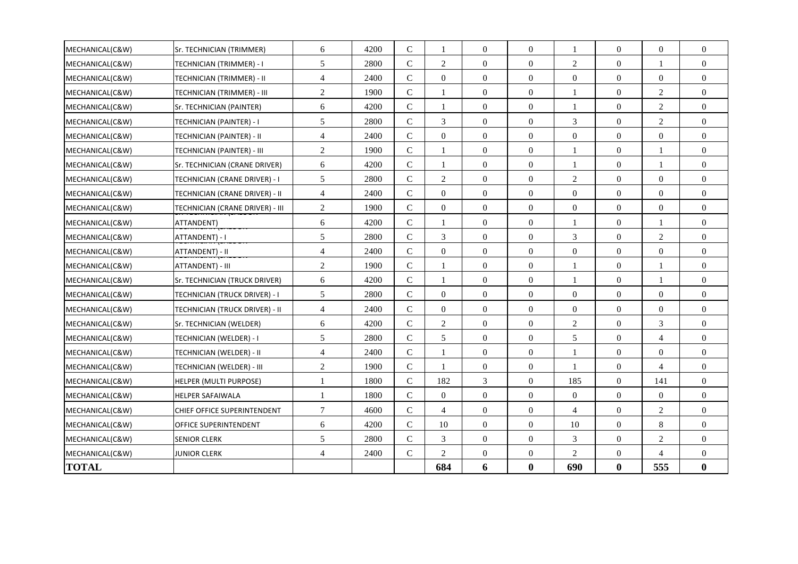| MECHANICAL(C&W) | Sr. TECHNICIAN (TRIMMER)        | 6              | 4200 | $\mathsf{C}$   | 1              | $\theta$         | $\Omega$         | $\mathbf{1}$     | $\Omega$         | $\overline{0}$   | $\overline{0}$   |
|-----------------|---------------------------------|----------------|------|----------------|----------------|------------------|------------------|------------------|------------------|------------------|------------------|
| MECHANICAL(C&W) | TECHNICIAN (TRIMMER) - I        | $\sqrt{5}$     | 2800 | $\mathsf{C}$   | $\overline{2}$ | $\mathbf{0}$     | $\mathbf{0}$     | $\mathfrak{2}$   | $\overline{0}$   | 1                | $\mathbf{0}$     |
| MECHANICAL(C&W) | TECHNICIAN (TRIMMER) - II       | $\overline{4}$ | 2400 | $\mathsf{C}$   | $\Omega$       | $\theta$         | $\mathbf{0}$     | $\theta$         | $\Omega$         | $\overline{0}$   | $\overline{0}$   |
| MECHANICAL(C&W) | TECHNICIAN (TRIMMER) - III      | $\overline{2}$ | 1900 | $\mathbf C$    | 1              | $\mathbf{0}$     | $\overline{0}$   | $\overline{1}$   | $\overline{0}$   | $\overline{2}$   | $\boldsymbol{0}$ |
| MECHANICAL(C&W) | Sr. TECHNICIAN (PAINTER)        | 6              | 4200 | $\mathsf{C}$   | $\mathbf{1}$   | $\mathbf{0}$     | $\boldsymbol{0}$ | $\mathbf{1}$     | $\overline{0}$   | $\overline{2}$   | $\overline{0}$   |
| MECHANICAL(C&W) | TECHNICIAN (PAINTER) - I        | 5              | 2800 | $\mathsf{C}$   | 3              | $\mathbf{0}$     | $\mathbf{0}$     | 3                | $\overline{0}$   | $\overline{2}$   | $\overline{0}$   |
| MECHANICAL(C&W) | TECHNICIAN (PAINTER) - II       | $\overline{4}$ | 2400 | $\mathbf C$    | $\overline{0}$ | $\mathbf{0}$     | $\overline{0}$   | $\overline{0}$   | $\overline{0}$   | $\boldsymbol{0}$ | $\boldsymbol{0}$ |
| MECHANICAL(C&W) | TECHNICIAN (PAINTER) - III      | $\overline{2}$ | 1900 | $\mathbf C$    | 1              | $\theta$         | $\Omega$         | $\overline{1}$   | $\Omega$         | $\mathbf{1}$     | $\overline{0}$   |
| MECHANICAL(C&W) | Sr. TECHNICIAN (CRANE DRIVER)   | 6              | 4200 | $\mathsf{C}$   | 1              | $\mathbf{0}$     | $\overline{0}$   | 1                | $\overline{0}$   | 1                | $\overline{0}$   |
| MECHANICAL(C&W) | TECHNICIAN (CRANE DRIVER) - I   | 5              | 2800 | $\mathcal{C}$  | $\overline{2}$ | $\mathbf{0}$     | $\mathbf{0}$     | $\mathfrak{2}$   | $\overline{0}$   | $\Omega$         | $\overline{0}$   |
| MECHANICAL(C&W) | TECHNICIAN (CRANE DRIVER) - II  | $\overline{4}$ | 2400 | $\mathsf{C}$   | $\overline{0}$ | $\overline{0}$   | $\overline{0}$   | $\overline{0}$   | $\overline{0}$   | $\overline{0}$   | $\overline{0}$   |
| MECHANICAL(C&W) | TECHNICIAN (CRANE DRIVER) - III | $\sqrt{2}$     | 1900 | $\mathbf C$    | $\overline{0}$ | $\mathbf{0}$     | $\mathbf{0}$     | $\boldsymbol{0}$ | $\overline{0}$   | $\overline{0}$   | $\overline{0}$   |
| MECHANICAL(C&W) | ATTANDENT)                      | 6              | 4200 | $\mathbf C$    | 1              | $\mathbf{0}$     | $\boldsymbol{0}$ | $\mathbf{1}$     | $\boldsymbol{0}$ | 1                | $\boldsymbol{0}$ |
| MECHANICAL(C&W) | ATTANDENT) - I                  | 5              | 2800 | $\mathsf{C}$   | 3              | $\mathbf{0}$     | $\boldsymbol{0}$ | 3                | $\boldsymbol{0}$ | $\overline{2}$   | $\boldsymbol{0}$ |
| MECHANICAL(C&W) | ATTANDENT) - II                 | $\overline{4}$ | 2400 | $\mathsf{C}$   | $\overline{0}$ | $\mathbf{0}$     | $\mathbf{0}$     | $\overline{0}$   | $\overline{0}$   | $\overline{0}$   | $\overline{0}$   |
| MECHANICAL(C&W) | ATTANDENT) - III                | $\overline{c}$ | 1900 | $\mathbf C$    | 1              | $\theta$         | $\mathbf{0}$     | $\mathbf{1}$     | $\overline{0}$   | $\mathbf{1}$     | $\overline{0}$   |
| MECHANICAL(C&W) | Sr. TECHNICIAN (TRUCK DRIVER)   | 6              | 4200 | $\mathcal{C}$  | 1              | $\overline{0}$   | $\overline{0}$   | $\mathbf{1}$     | $\boldsymbol{0}$ | 1                | $\overline{0}$   |
| MECHANICAL(C&W) | TECHNICIAN (TRUCK DRIVER) - I   | 5              | 2800 | $\overline{C}$ | $\Omega$       | $\theta$         | $\mathbf{0}$     | $\overline{0}$   | $\overline{0}$   | $\Omega$         | $\overline{0}$   |
| MECHANICAL(C&W) | TECHNICIAN (TRUCK DRIVER) - II  | $\overline{4}$ | 2400 | $\mathbf C$    | $\overline{0}$ | $\boldsymbol{0}$ | $\boldsymbol{0}$ | $\overline{0}$   | $\boldsymbol{0}$ | $\boldsymbol{0}$ | $\boldsymbol{0}$ |
| MECHANICAL(C&W) | Sr. TECHNICIAN (WELDER)         | 6              | 4200 | $\mathbf C$    | $\overline{c}$ | $\theta$         | $\mathbf{0}$     | $\overline{c}$   | $\overline{0}$   | $\mathfrak{Z}$   | $\overline{0}$   |
| MECHANICAL(C&W) | TECHNICIAN (WELDER) - I         | 5              | 2800 | $\mathbf C$    | 5              | $\boldsymbol{0}$ | $\boldsymbol{0}$ | 5                | $\boldsymbol{0}$ | $\overline{4}$   | $\boldsymbol{0}$ |
| MECHANICAL(C&W) | TECHNICIAN (WELDER) - II        | $\overline{4}$ | 2400 | $\overline{C}$ | 1              | $\theta$         | $\Omega$         | $\mathbf{1}$     | $\Omega$         | $\Omega$         | $\overline{0}$   |
| MECHANICAL(C&W) | TECHNICIAN (WELDER) - III       | $\overline{2}$ | 1900 | $\mathsf{C}$   | 1              | $\overline{0}$   | $\overline{0}$   | -1               | $\mathbf{0}$     | $\overline{4}$   | $\overline{0}$   |
| MECHANICAL(C&W) | HELPER (MULTI PURPOSE)          | 1              | 1800 | $\mathbf{C}$   | 182            | 3                | $\mathbf{0}$     | 185              | $\Omega$         | 141              | $\overline{0}$   |
| MECHANICAL(C&W) | <b>HELPER SAFAIWALA</b>         | -1             | 1800 | $\mathsf{C}$   | $\Omega$       | $\mathbf{0}$     | $\mathbf{0}$     | $\overline{0}$   | $\mathbf{0}$     | $\overline{0}$   | $\boldsymbol{0}$ |
| MECHANICAL(C&W) | CHIEF OFFICE SUPERINTENDENT     | $\tau$         | 4600 | $\overline{C}$ | $\overline{4}$ | $\mathbf{0}$     | $\theta$         | 4                | $\mathbf{0}$     | $\overline{2}$   | $\overline{0}$   |
| MECHANICAL(C&W) | OFFICE SUPERINTENDENT           | 6              | 4200 | $\mathbf C$    | 10             | $\mathbf{0}$     | $\mathbf{0}$     | 10               | $\overline{0}$   | $\,8\,$          | $\overline{0}$   |
| MECHANICAL(C&W) | <b>SENIOR CLERK</b>             | 5              | 2800 | $\mathbf C$    | 3              | $\mathbf{0}$     | $\mathbf{0}$     | 3                | $\overline{0}$   | $\overline{2}$   | $\boldsymbol{0}$ |
| MECHANICAL(C&W) | <b>JUNIOR CLERK</b>             | $\overline{4}$ | 2400 | $\mathsf{C}$   | $\overline{2}$ | $\mathbf{0}$     | $\boldsymbol{0}$ | $\mathfrak{2}$   | $\boldsymbol{0}$ | $\overline{4}$   | $\boldsymbol{0}$ |
| <b>TOTAL</b>    |                                 |                |      |                | 684            | 6                | $\boldsymbol{0}$ | 690              | $\bf{0}$         | 555              | $\bf{0}$         |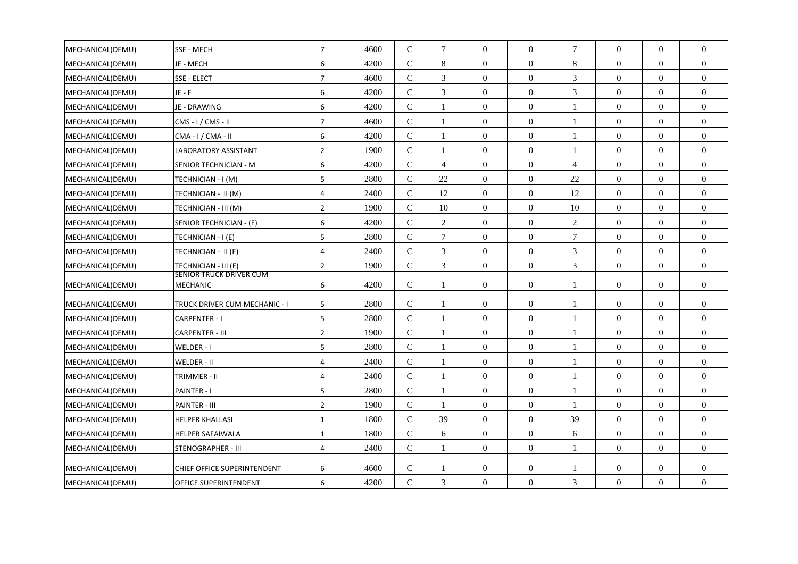| MECHANICAL(DEMU) | SSE - MECH                          | $\overline{7}$ | 4600 | $\mathcal{C}$ | $\tau$         | $\Omega$         | $\Omega$         | $\tau$         | $\Omega$         | $\Omega$         | $\Omega$         |
|------------------|-------------------------------------|----------------|------|---------------|----------------|------------------|------------------|----------------|------------------|------------------|------------------|
| MECHANICAL(DEMU) | JE - MECH                           | 6              | 4200 | $\mathbf C$   | 8              | $\mathbf{0}$     | $\overline{0}$   | 8              | $\overline{0}$   | $\overline{0}$   | $\overline{0}$   |
| MECHANICAL(DEMU) | SSE - ELECT                         | $\overline{7}$ | 4600 | $\mathsf{C}$  | $\mathfrak{Z}$ | $\mathbf{0}$     | $\boldsymbol{0}$ | $\mathfrak{Z}$ | $\overline{0}$   | $\overline{0}$   | $\overline{0}$   |
| MECHANICAL(DEMU) | $JE - E$                            | 6              | 4200 | $\mathsf{C}$  | 3              | $\Omega$         | $\Omega$         | 3              | $\Omega$         | $\Omega$         | $\Omega$         |
| MECHANICAL(DEMU) | JE - DRAWING                        | 6              | 4200 | $\mathsf{C}$  | 1              | $\boldsymbol{0}$ | $\overline{0}$   | 1              | $\overline{0}$   | $\overline{0}$   | $\mathbf{0}$     |
| MECHANICAL(DEMU) | $CMS - I / CMS - II$                | $\overline{7}$ | 4600 | $\mathcal{C}$ | $\mathbf{1}$   | $\Omega$         | $\overline{0}$   | $\mathbf{1}$   | $\overline{0}$   | $\Omega$         | $\Omega$         |
| MECHANICAL(DEMU) | $CMA - I / CMA - II$                | 6              | 4200 | $\mathbf C$   | 1              | $\mathbf{0}$     | $\overline{0}$   | $\mathbf{1}$   | $\overline{0}$   | $\Omega$         | $\overline{0}$   |
| MECHANICAL(DEMU) | LABORATORY ASSISTANT                | $\overline{2}$ | 1900 | $\mathbf C$   | 1              | $\mathbf{0}$     | $\boldsymbol{0}$ | 1              | $\boldsymbol{0}$ | $\overline{0}$   | $\overline{0}$   |
| MECHANICAL(DEMU) | SENIOR TECHNICIAN - M               | 6              | 4200 | $\mathcal{C}$ | $\overline{4}$ | $\mathbf{0}$     | $\theta$         | $\overline{4}$ | $\overline{0}$   | $\Omega$         | $\Omega$         |
| MECHANICAL(DEMU) | TECHNICIAN - I (M)                  | 5              | 2800 | $\mathbf C$   | 22             | $\mathbf{0}$     | $\overline{0}$   | 22             | $\overline{0}$   | $\overline{0}$   | $\overline{0}$   |
| MECHANICAL(DEMU) | TECHNICIAN - II (M)                 | 4              | 2400 | $\mathsf C$   | 12             | $\mathbf{0}$     | $\overline{0}$   | 12             | $\overline{0}$   | $\Omega$         | $\Omega$         |
| MECHANICAL(DEMU) | TECHNICIAN - III (M)                | $\overline{2}$ | 1900 | $\mathcal{C}$ | 10             | $\mathbf{0}$     | $\overline{0}$   | 10             | $\overline{0}$   | $\Omega$         | $\overline{0}$   |
| MECHANICAL(DEMU) | SENIOR TECHNICIAN - (E)             | 6              | 4200 | ${\bf C}$     | 2              | $\boldsymbol{0}$ | $\boldsymbol{0}$ | $\mathfrak{2}$ | $\overline{0}$   | $\overline{0}$   | $\overline{0}$   |
| MECHANICAL(DEMU) | TECHNICIAN - I (E)                  | 5              | 2800 | $\mathcal{C}$ | $\tau$         | $\Omega$         | $\theta$         | $\tau$         | $\overline{0}$   | $\Omega$         | $\Omega$         |
| MECHANICAL(DEMU) | TECHNICIAN - II (E)                 | 4              | 2400 | $\mathsf{C}$  | $\mathfrak{Z}$ | $\mathbf{0}$     | $\overline{0}$   | 3              | $\overline{0}$   | $\overline{0}$   | $\mathbf{0}$     |
| MECHANICAL(DEMU) | TECHNICIAN - III (E)                | $\overline{2}$ | 1900 | $\mathsf{C}$  | 3              | $\theta$         | $\Omega$         | 3              | $\overline{0}$   | $\Omega$         | $\Omega$         |
| MECHANICAL(DEMU) | SENIOR TRUCK DRIVER CUM<br>MECHANIC | 6              | 4200 | $\mathsf{C}$  | $\mathbf{1}$   | $\mathbf{0}$     | $\overline{0}$   | $\mathbf{1}$   | $\overline{0}$   | $\overline{0}$   | $\mathbf{0}$     |
|                  |                                     |                |      |               |                |                  |                  |                |                  |                  |                  |
| MECHANICAL(DEMU) | TRUCK DRIVER CUM MECHANIC - I       | 5              | 2800 | $\mathcal{C}$ | $\mathbf{1}$   | $\Omega$         | $\overline{0}$   | $\mathbf{1}$   | $\overline{0}$   | $\Omega$         | $\Omega$         |
| MECHANICAL(DEMU) | <b>CARPENTER - I</b>                | 5              | 2800 | $\mathsf{C}$  | 1              | $\boldsymbol{0}$ | $\overline{0}$   | $\mathbf{1}$   | $\overline{0}$   | $\overline{0}$   | $\overline{0}$   |
| MECHANICAL(DEMU) | CARPENTER - III                     | $\overline{2}$ | 1900 | ${\bf C}$     | $\mathbf{1}$   | $\boldsymbol{0}$ | $\Omega$         | $\mathbf{1}$   | $\boldsymbol{0}$ | $\Omega$         | $\Omega$         |
| MECHANICAL(DEMU) | WELDER - I                          | 5              | 2800 | $\mathcal{C}$ | $\mathbf{1}$   | $\mathbf{0}$     | $\overline{0}$   | $\mathbf{1}$   | $\overline{0}$   | $\Omega$         | $\overline{0}$   |
| MECHANICAL(DEMU) | WELDER - II                         | 4              | 2400 | $\mathsf{C}$  | 1              | $\boldsymbol{0}$ | $\overline{0}$   | -1             | $\overline{0}$   | $\overline{0}$   | $\mathbf{0}$     |
| MECHANICAL(DEMU) | TRIMMER - II                        | $\overline{4}$ | 2400 | $\mathcal{C}$ | $\mathbf{1}$   | $\mathbf{0}$     | $\overline{0}$   | $\mathbf{1}$   | $\overline{0}$   | $\Omega$         | $\Omega$         |
| MECHANICAL(DEMU) | PAINTER - I                         | 5              | 2800 | $\mathsf{C}$  | -1             | $\boldsymbol{0}$ | $\overline{0}$   | $\mathbf{1}$   | $\overline{0}$   | $\overline{0}$   | $\mathbf{0}$     |
| MECHANICAL(DEMU) | PAINTER - III                       | $\overline{2}$ | 1900 | ${\bf C}$     | -1             | $\boldsymbol{0}$ | $\boldsymbol{0}$ | $\mathbf{1}$   | $\boldsymbol{0}$ | $\boldsymbol{0}$ | $\Omega$         |
| MECHANICAL(DEMU) | <b>HELPER KHALLASI</b>              | $\mathbf{1}$   | 1800 | $\mathcal{C}$ | 39             | $\mathbf{0}$     | $\overline{0}$   | 39             | $\overline{0}$   | $\Omega$         | $\overline{0}$   |
| MECHANICAL(DEMU) | <b>HELPER SAFAIWALA</b>             | $\mathbf{1}$   | 1800 | $\mathsf{C}$  | 6              | $\boldsymbol{0}$ | $\overline{0}$   | 6              | $\boldsymbol{0}$ | $\boldsymbol{0}$ | $\boldsymbol{0}$ |
| MECHANICAL(DEMU) | <b>STENOGRAPHER - III</b>           | 4              | 2400 | $\mathcal{C}$ | $\mathbf{1}$   | $\mathbf{0}$     | $\overline{0}$   | $\mathbf{1}$   | $\overline{0}$   | $\Omega$         | $\Omega$         |
| MECHANICAL(DEMU) | CHIEF OFFICE SUPERINTENDENT         | 6              | 4600 | $\mathsf{C}$  | -1             | $\mathbf{0}$     | $\boldsymbol{0}$ | 1              | $\overline{0}$   | $\overline{0}$   | $\mathbf{0}$     |
| MECHANICAL(DEMU) | OFFICE SUPERINTENDENT               | 6              | 4200 | ${\bf C}$     | 3              | $\mathbf{0}$     | $\Omega$         | 3              | $\overline{0}$   | $\Omega$         | $\Omega$         |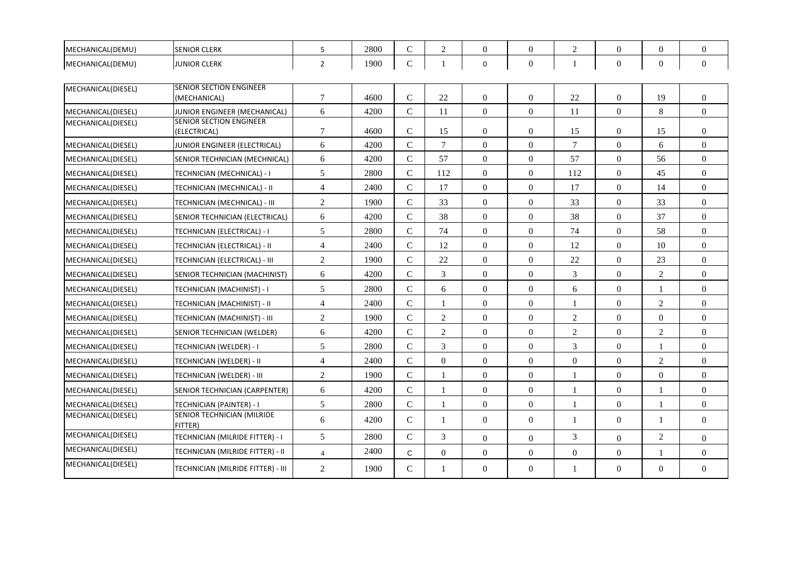| MECHANICAL(DEMU)   | <b>SENIOR CLERK</b>                            | 5              | 2800 | $\mathcal{C}$ | 2              | $\Omega$         | $\Omega$       | 2              | $\Omega$         | $\Omega$       | $\Omega$         |
|--------------------|------------------------------------------------|----------------|------|---------------|----------------|------------------|----------------|----------------|------------------|----------------|------------------|
| MECHANICAL(DEMU)   | <b>JUNIOR CLERK</b>                            | $\overline{2}$ | 1900 | $\mathsf{C}$  | -1             | $\mathbf 0$      | $\overline{0}$ | $\mathbf{1}$   | $\Omega$         | $\overline{0}$ | $\mathbf{0}$     |
| MECHANICAL(DIESEL) | <b>SENIOR SECTION ENGINEER</b><br>(MECHANICAL) | $\tau$         | 4600 | $\mathcal{C}$ | 22             | $\mathbf{0}$     | $\Omega$       | 22             | $\overline{0}$   | 19             | $\overline{0}$   |
| MECHANICAL(DIESEL) | JUNIOR ENGINEER (MECHANICAL)                   | 6              | 4200 | $\mathsf{C}$  | 11             | $\overline{0}$   | $\overline{0}$ | 11             | $\overline{0}$   | $\,8\,$        | $\overline{0}$   |
| MECHANICAL(DIESEL) | <b>SENIOR SECTION ENGINEER</b><br>(ELECTRICAL) | $\tau$         | 4600 | $\mathcal{C}$ | 15             | $\Omega$         | $\Omega$       | 15             | $\Omega$         | 15             | $\Omega$         |
| MECHANICAL(DIESEL) | JUNIOR ENGINEER (ELECTRICAL)                   | 6              | 4200 | $\mathcal{C}$ | $\tau$         | $\overline{0}$   | $\theta$       | $\overline{7}$ | $\overline{0}$   | 6              | $\overline{0}$   |
| MECHANICAL(DIESEL) | SENIOR TECHNICIAN (MECHNICAL)                  | 6              | 4200 | $\mathsf{C}$  | 57             | $\overline{0}$   | $\theta$       | 57             | $\overline{0}$   | 56             | $\overline{0}$   |
| MECHANICAL(DIESEL) | TECHNICIAN (MECHNICAL) - I                     | 5              | 2800 | $\mathsf{C}$  | 112            | $\overline{0}$   | $\theta$       | 112            | $\overline{0}$   | 45             | $\overline{0}$   |
| MECHANICAL(DIESEL) | TECHNICIAN (MECHNICAL) - II                    | $\overline{4}$ | 2400 | $\mathcal{C}$ | 17             | $\overline{0}$   | $\overline{0}$ | 17             | $\overline{0}$   | 14             | $\overline{0}$   |
| MECHANICAL(DIESEL) | TECHNICIAN (MECHNICAL) - III                   | $\overline{2}$ | 1900 | $\mathsf{C}$  | 33             | $\overline{0}$   | $\overline{0}$ | 33             | $\overline{0}$   | 33             | $\overline{0}$   |
| MECHANICAL(DIESEL) | SENIOR TECHNICIAN (ELECTRICAL)                 | 6              | 4200 | $\mathsf{C}$  | 38             | $\boldsymbol{0}$ | $\overline{0}$ | 38             | $\boldsymbol{0}$ | 37             | $\boldsymbol{0}$ |
| MECHANICAL(DIESEL) | TECHNICIAN (ELECTRICAL) - I                    | 5              | 2800 | $\mathcal{C}$ | 74             | $\theta$         | $\theta$       | 74             | $\Omega$         | 58             | $\theta$         |
| MECHANICAL(DIESEL) | TECHNICIAN (ELECTRICAL) - II                   | $\overline{4}$ | 2400 | $\mathcal{C}$ | 12             | $\theta$         | $\Omega$       | 12             | $\Omega$         | 10             | $\theta$         |
| MECHANICAL(DIESEL) | TECHNICIAN (ELECTRICAL) - III                  | 2              | 1900 | $\mathsf{C}$  | 22             | $\overline{0}$   | $\theta$       | 22             | $\overline{0}$   | 23             | $\overline{0}$   |
| MECHANICAL(DIESEL) | SENIOR TECHNICIAN (MACHINIST)                  | 6              | 4200 | $\mathsf{C}$  | 3              | $\overline{0}$   | $\overline{0}$ | 3              | $\overline{0}$   | $\mathfrak{2}$ | $\overline{0}$   |
| MECHANICAL(DIESEL) | TECHNICIAN (MACHINIST) - I                     | 5              | 2800 | $\mathbf C$   | 6              | $\theta$         | $\theta$       | 6              | $\boldsymbol{0}$ | 1              | $\overline{0}$   |
| MECHANICAL(DIESEL) | TECHNICIAN (MACHINIST) - II                    | $\overline{4}$ | 2400 | $\mathsf{C}$  |                | $\overline{0}$   | $\mathbf{0}$   | $\mathbf{1}$   | $\overline{0}$   | $\overline{2}$ | $\overline{0}$   |
| MECHANICAL(DIESEL) | TECHNICIAN (MACHINIST) - III                   | $\overline{c}$ | 1900 | $\mathcal{C}$ | $\overline{2}$ | $\overline{0}$   | $\theta$       | 2              | $\overline{0}$   | $\overline{0}$ | $\overline{0}$   |
| MECHANICAL(DIESEL) | SENIOR TECHNICIAN (WELDER)                     | 6              | 4200 | $\mathsf{C}$  | $\overline{2}$ | $\overline{0}$   | $\overline{0}$ | $\overline{2}$ | $\overline{0}$   | $\mathfrak{2}$ | $\overline{0}$   |
| MECHANICAL(DIESEL) | <b>TECHNICIAN (WELDER) - I</b>                 | 5              | 2800 | $\mathsf{C}$  | $\overline{3}$ | $\overline{0}$   | $\overline{0}$ | 3              | $\overline{0}$   | $\mathbf{1}$   | $\overline{0}$   |
| MECHANICAL(DIESEL) | TECHNICIAN (WELDER) - II                       | $\overline{4}$ | 2400 | $\mathsf{C}$  | $\overline{0}$ | $\overline{0}$   | $\overline{0}$ | $\overline{0}$ | $\overline{0}$   | $\overline{2}$ | $\overline{0}$   |
| MECHANICAL(DIESEL) | TECHNICIAN (WELDER) - III                      | $\overline{2}$ | 1900 | $\mathcal{C}$ |                | $\theta$         | $\Omega$       | $\mathbf{1}$   | $\Omega$         | $\Omega$       | $\theta$         |
| MECHANICAL(DIESEL) | SENIOR TECHNICIAN (CARPENTER)                  | 6              | 4200 | $\mathcal{C}$ |                | $\theta$         | $\theta$       | 1              | $\overline{0}$   | 1              | $\overline{0}$   |
| MECHANICAL(DIESEL) | TECHNICIAN (PAINTER) - I                       | 5              | 2800 | $\mathsf{C}$  | -1             | $\overline{0}$   | $\overline{0}$ | $\mathbf{1}$   | $\overline{0}$   | $\mathbf{1}$   | $\overline{0}$   |
| MECHANICAL(DIESEL) | SENIOR TECHNICIAN (MILRIDE<br>FITTER)          | 6              | 4200 | C             | 1              | $\Omega$         | $\Omega$       | 1              | $\Omega$         | 1              | $\theta$         |
| MECHANICAL(DIESEL) | TECHNICIAN (MILRIDE FITTER) - I                | 5              | 2800 | $\mathcal{C}$ | 3              | $\overline{0}$   | $\theta$       | 3              | $\overline{0}$   | 2              | $\overline{0}$   |
| MECHANICAL(DIESEL) | TECHNICIAN (MILRIDE FITTER) - II               | $\overline{4}$ | 2400 | $\mathsf{C}$  | $\overline{0}$ | $\theta$         | $\Omega$       | $\theta$       | $\Omega$         | $\mathbf{1}$   | $\theta$         |
| MECHANICAL(DIESEL) | TECHNICIAN (MILRIDE FITTER) - III              | $\overline{2}$ | 1900 | $\mathcal{C}$ | $\mathbf{1}$   | $\Omega$         | $\overline{0}$ | 1              | $\overline{0}$   | $\Omega$       | $\theta$         |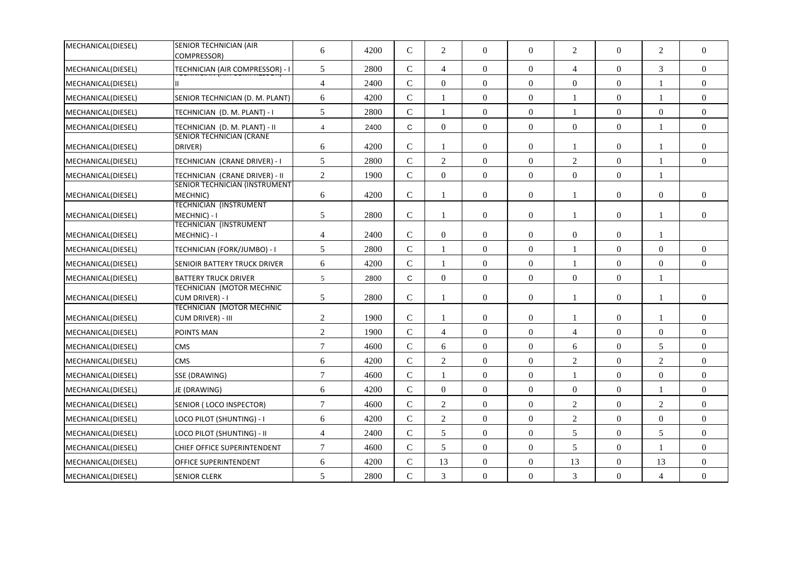| MECHANICAL(DIESEL) | <b>SENIOR TECHNICIAN (AIR</b><br>COMPRESSOR)          | 6                | 4200 | $\mathcal{C}$  | 2                | $\theta$         | $\overline{0}$   | 2                | $\overline{0}$   | 2                | $\overline{0}$   |
|--------------------|-------------------------------------------------------|------------------|------|----------------|------------------|------------------|------------------|------------------|------------------|------------------|------------------|
| MECHANICAL(DIESEL) | TECHNICIAN (AIR COMPRESSOR) - I                       | 5                | 2800 | $\mathsf{C}$   | $\overline{4}$   | $\theta$         | $\mathbf{0}$     | $\overline{4}$   | $\overline{0}$   | 3                | $\overline{0}$   |
| MECHANICAL(DIESEL) |                                                       | $\overline{4}$   | 2400 | $\mathsf{C}$   | $\boldsymbol{0}$ | $\overline{0}$   | $\boldsymbol{0}$ | $\boldsymbol{0}$ | $\boldsymbol{0}$ | -1               | $\overline{0}$   |
| MECHANICAL(DIESEL) | SENIOR TECHNICIAN (D. M. PLANT)                       | 6                | 4200 | $\mathbf C$    |                  | $\overline{0}$   | $\overline{0}$   | 1                | $\boldsymbol{0}$ | $\mathbf{1}$     | $\overline{0}$   |
| MECHANICAL(DIESEL) | TECHNICIAN (D. M. PLANT) - I                          | 5                | 2800 | $\mathsf{C}$   | -1               | $\boldsymbol{0}$ | $\mathbf{0}$     | 1                | $\boldsymbol{0}$ | $\boldsymbol{0}$ | $\overline{0}$   |
| MECHANICAL(DIESEL) | TECHNICIAN (D. M. PLANT) - II                         | $\overline{4}$   | 2400 | $\mathsf{C}$   | $\overline{0}$   | $\Omega$         | $\overline{0}$   | $\overline{0}$   | $\overline{0}$   |                  | $\overline{0}$   |
| MECHANICAL(DIESEL) | <b>SENIOR TECHNICIAN (CRANE</b><br>DRIVER)            | 6                | 4200 | $\mathbf C$    | -1               | $\mathbf{0}$     | $\mathbf{0}$     | 1                | $\overline{0}$   | 1                | $\overline{0}$   |
| MECHANICAL(DIESEL) | TECHNICIAN (CRANE DRIVER) - I                         | 5                | 2800 | $\mathbf C$    | $\overline{2}$   | $\overline{0}$   | $\overline{0}$   | 2                | $\overline{0}$   | $\mathbf{1}$     | $\overline{0}$   |
| MECHANICAL(DIESEL) | TECHNICIAN (CRANE DRIVER) - II                        | $\sqrt{2}$       | 1900 | $\mathbf C$    | $\overline{0}$   | $\boldsymbol{0}$ | $\overline{0}$   | $\mathbf{0}$     | $\boldsymbol{0}$ | $\mathbf{1}$     |                  |
| MECHANICAL(DIESEL) | SENIOR TECHNICIAN (INSTRUMENT<br>MECHNIC)             | 6                | 4200 | $\mathbf C$    |                  | $\boldsymbol{0}$ | $\mathbf{0}$     | 1                | $\overline{0}$   | $\boldsymbol{0}$ | $\overline{0}$   |
| MECHANICAL(DIESEL) | <b>TECHNICIAN (INSTRUMENT</b><br>MECHNIC) - I         | $\sqrt{5}$       | 2800 | $\mathcal{C}$  | -1               | $\theta$         | $\overline{0}$   | 1                | $\overline{0}$   | 1                | $\Omega$         |
| MECHANICAL(DIESEL) | <b>TECHNICIAN (INSTRUMENT</b><br>MECHNIC) - I         | 4                | 2400 | $\mathcal{C}$  | $\overline{0}$   | $\overline{0}$   | $\overline{0}$   | $\mathbf{0}$     | $\overline{0}$   | $\mathbf{1}$     |                  |
| MECHANICAL(DIESEL) | TECHNICIAN (FORK/JUMBO) - I                           | 5                | 2800 | $\mathsf{C}$   |                  | $\Omega$         | $\overline{0}$   | 1                | $\overline{0}$   | $\overline{0}$   | $\overline{0}$   |
| MECHANICAL(DIESEL) | SENIOIR BATTERY TRUCK DRIVER                          | 6                | 4200 | $\overline{C}$ | $\mathbf{1}$     | $\boldsymbol{0}$ | $\mathbf{0}$     | $\mathbf{1}$     | $\overline{0}$   | $\mathbf{0}$     | $\overline{0}$   |
| MECHANICAL(DIESEL) | <b>BATTERY TRUCK DRIVER</b>                           | 5                | 2800 | C              | $\boldsymbol{0}$ | $\boldsymbol{0}$ | $\boldsymbol{0}$ | $\boldsymbol{0}$ | $\boldsymbol{0}$ | $\mathbf{1}$     |                  |
| MECHANICAL(DIESEL) | <b>TECHNICIAN (MOTOR MECHNIC</b><br>CUM DRIVER) - I   | $\mathfrak{S}$   | 2800 | $\mathsf{C}$   |                  | $\overline{0}$   | $\mathbf{0}$     | -1               | $\boldsymbol{0}$ | $\mathbf{1}$     | $\overline{0}$   |
| MECHANICAL(DIESEL) | <b>TECHNICIAN (MOTOR MECHNIC</b><br>CUM DRIVER) - III | $\boldsymbol{2}$ | 1900 | $\mathsf{C}$   | -1               | $\overline{0}$   | $\overline{0}$   | $\mathbf{1}$     | $\overline{0}$   | $\mathbf{1}$     | $\overline{0}$   |
| MECHANICAL(DIESEL) | <b>POINTS MAN</b>                                     | $\sqrt{2}$       | 1900 | $\mathcal{C}$  | $\overline{4}$   | $\overline{0}$   | $\overline{0}$   | $\overline{4}$   | $\overline{0}$   | $\overline{0}$   | $\overline{0}$   |
| MECHANICAL(DIESEL) | CMS                                                   | $\overline{7}$   | 4600 | $\mathsf{C}$   | 6                | $\boldsymbol{0}$ | $\overline{0}$   | 6                | $\overline{0}$   | 5                | $\Omega$         |
| MECHANICAL(DIESEL) | <b>CMS</b>                                            | 6                | 4200 | $\mathbf C$    | $\overline{2}$   | $\boldsymbol{0}$ | $\mathbf{0}$     | $\overline{2}$   | $\overline{0}$   | $\overline{2}$   | $\overline{0}$   |
| MECHANICAL(DIESEL) | SSE (DRAWING)                                         | $\overline{7}$   | 4600 | $\mathsf{C}$   |                  | $\overline{0}$   | $\overline{0}$   | 1                | $\overline{0}$   | $\overline{0}$   | $\overline{0}$   |
| MECHANICAL(DIESEL) | JE (DRAWING)                                          | 6                | 4200 | $\mathsf{C}$   | $\Omega$         | $\Omega$         | $\theta$         | $\Omega$         | $\overline{0}$   | -1               | $\overline{0}$   |
| MECHANICAL(DIESEL) | SENIOR (LOCO INSPECTOR)                               | $\overline{7}$   | 4600 | $\mathsf{C}$   | $\overline{c}$   | $\boldsymbol{0}$ | $\overline{0}$   | $\sqrt{2}$       | $\overline{0}$   | $\sqrt{2}$       | $\overline{0}$   |
| MECHANICAL(DIESEL) | LOCO PILOT (SHUNTING) - I                             | 6                | 4200 | $\mathsf{C}$   | $\overline{2}$   | $\mathbf{0}$     | $\mathbf{0}$     | $\mathfrak{2}$   | $\Omega$         | $\mathbf{0}$     | $\overline{0}$   |
| MECHANICAL(DIESEL) | LOCO PILOT (SHUNTING) - II                            | 4                | 2400 | $\mathsf{C}$   | 5                | $\overline{0}$   | $\overline{0}$   | 5                | $\overline{0}$   | 5                | $\overline{0}$   |
| MECHANICAL(DIESEL) | CHIEF OFFICE SUPERINTENDENT                           | $\boldsymbol{7}$ | 4600 | $\mathsf{C}$   | 5                | $\boldsymbol{0}$ | $\mathbf{0}$     | 5                | $\boldsymbol{0}$ | $\mathbf{1}$     | $\overline{0}$   |
| MECHANICAL(DIESEL) | OFFICE SUPERINTENDENT                                 | 6                | 4200 | $\mathsf{C}$   | 13               | $\overline{0}$   | $\mathbf{0}$     | 13               | $\boldsymbol{0}$ | 13               | $\boldsymbol{0}$ |
| MECHANICAL(DIESEL) | <b>SENIOR CLERK</b>                                   | 5                | 2800 | $\mathsf{C}$   | 3                | $\overline{0}$   | $\overline{0}$   | 3                | $\overline{0}$   | $\overline{4}$   | $\overline{0}$   |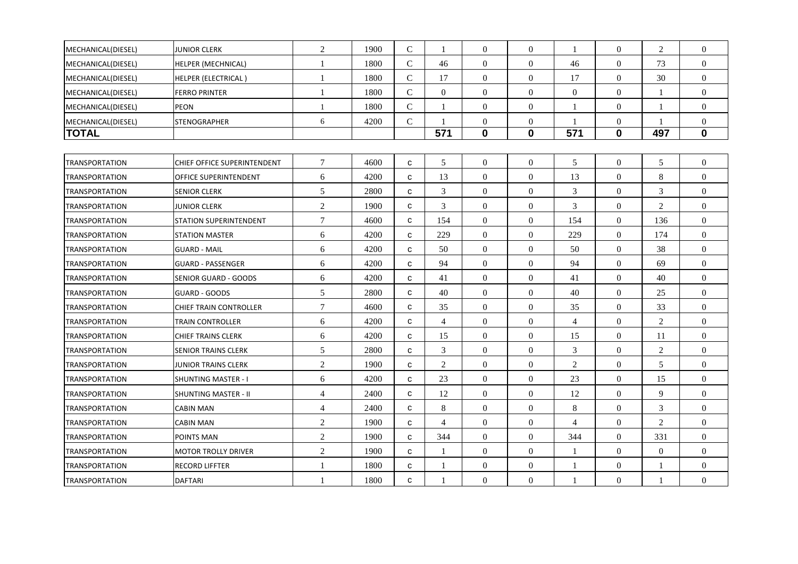| MECHANICAL(DIESEL)    | JUNIOR CLERK                  | 2                | 1900 | $\mathcal{C}$ | $\mathbf{1}$   | $\Omega$         | $\Omega$         | $\overline{1}$ | $\Omega$         | 2              | $\theta$         |
|-----------------------|-------------------------------|------------------|------|---------------|----------------|------------------|------------------|----------------|------------------|----------------|------------------|
| MECHANICAL(DIESEL)    | <b>HELPER (MECHNICAL)</b>     | -1               | 1800 | $\mathsf{C}$  | 46             | $\overline{0}$   | $\overline{0}$   | 46             | $\boldsymbol{0}$ | 73             | $\overline{0}$   |
| MECHANICAL(DIESEL)    | <b>HELPER (ELECTRICAL)</b>    | $\overline{1}$   | 1800 | $\mathcal{C}$ | 17             | $\overline{0}$   | $\overline{0}$   | 17             | $\mathbf{0}$     | 30             | $\overline{0}$   |
| MECHANICAL(DIESEL)    | <b>FERRO PRINTER</b>          | $\overline{1}$   | 1800 | $\mathcal{C}$ | $\overline{0}$ | $\overline{0}$   | $\overline{0}$   | $\mathbf{0}$   | $\boldsymbol{0}$ |                | $\overline{0}$   |
| MECHANICAL(DIESEL)    | PEON                          | $\mathbf{1}$     | 1800 | $\mathcal{C}$ | $\mathbf{1}$   | $\overline{0}$   | $\overline{0}$   | $\overline{1}$ | $\boldsymbol{0}$ |                | $\overline{0}$   |
| MECHANICAL(DIESEL)    | <b>STENOGRAPHER</b>           | 6                | 4200 | $\mathbf C$   | -1             | $\boldsymbol{0}$ | $\boldsymbol{0}$ | -1             | $\boldsymbol{0}$ |                | $\boldsymbol{0}$ |
| TOTAL                 |                               |                  |      |               | 571            | $\boldsymbol{0}$ | $\mathbf 0$      | 571            | 0                | 497            | $\bf{0}$         |
|                       |                               |                  |      |               |                |                  |                  |                |                  |                |                  |
| <b>TRANSPORTATION</b> | CHIEF OFFICE SUPERINTENDENT   | $7\phantom{.0}$  | 4600 | C             | 5              | $\boldsymbol{0}$ | $\overline{0}$   | 5              | $\overline{0}$   | 5              | $\overline{0}$   |
| <b>TRANSPORTATION</b> | OFFICE SUPERINTENDENT         | 6                | 4200 | C             | 13             | $\overline{0}$   | $\Omega$         | 13             | $\mathbf{0}$     | 8              | $\Omega$         |
| <b>TRANSPORTATION</b> | <b>SENIOR CLERK</b>           | 5                | 2800 | C             | 3              | $\mathbf{0}$     | $\mathbf{0}$     | 3              | $\boldsymbol{0}$ | 3              | $\overline{0}$   |
| <b>TRANSPORTATION</b> | JUNIOR CLERK                  | 2                | 1900 | C             | 3              | $\overline{0}$   | $\overline{0}$   | 3              | $\overline{0}$   | 2              | $\Omega$         |
| <b>TRANSPORTATION</b> | <b>STATION SUPERINTENDENT</b> | $\boldsymbol{7}$ | 4600 | C             | 154            | $\overline{0}$   | $\overline{0}$   | 154            | $\overline{0}$   | 136            | $\overline{0}$   |
| <b>TRANSPORTATION</b> | <b>STATION MASTER</b>         | 6                | 4200 | C             | 229            | $\overline{0}$   | $\overline{0}$   | 229            | $\mathbf{0}$     | 174            | $\overline{0}$   |
| <b>TRANSPORTATION</b> | <b>GUARD - MAIL</b>           | 6                | 4200 | C             | 50             | $\overline{0}$   | $\overline{0}$   | 50             | $\boldsymbol{0}$ | 38             | $\overline{0}$   |
| <b>TRANSPORTATION</b> | <b>GUARD - PASSENGER</b>      | 6                | 4200 | $\mathbf{C}$  | 94             | $\overline{0}$   | $\overline{0}$   | 94             | $\overline{0}$   | 69             | $\overline{0}$   |
| <b>TRANSPORTATION</b> | SENIOR GUARD - GOODS          | 6                | 4200 | C             | 41             | $\theta$         | $\boldsymbol{0}$ | 41             | $\mathbf{0}$     | 40             | $\mathbf{0}$     |
| <b>TRANSPORTATION</b> | <b>GUARD - GOODS</b>          | 5                | 2800 | C             | 40             | $\boldsymbol{0}$ | $\overline{0}$   | 40             | $\boldsymbol{0}$ | 25             | $\boldsymbol{0}$ |
| <b>TRANSPORTATION</b> | <b>CHIEF TRAIN CONTROLLER</b> | $\boldsymbol{7}$ | 4600 | C             | 35             | $\boldsymbol{0}$ | $\boldsymbol{0}$ | 35             | $\boldsymbol{0}$ | 33             | $\boldsymbol{0}$ |
| <b>TRANSPORTATION</b> | TRAIN CONTROLLER              | 6                | 4200 | C             | $\overline{4}$ | $\overline{0}$   | $\Omega$         | $\overline{4}$ | $\mathbf{0}$     | 2              | $\overline{0}$   |
| <b>TRANSPORTATION</b> | <b>CHIEF TRAINS CLERK</b>     | 6                | 4200 | c             | 15             | $\boldsymbol{0}$ | $\boldsymbol{0}$ | 15             | $\boldsymbol{0}$ | 11             | $\boldsymbol{0}$ |
| <b>TRANSPORTATION</b> | <b>SENIOR TRAINS CLERK</b>    | 5                | 2800 | C             | $\mathfrak{Z}$ | $\overline{0}$   | $\theta$         | 3              | $\overline{0}$   | 2              | $\overline{0}$   |
| <b>TRANSPORTATION</b> | <b>JUNIOR TRAINS CLERK</b>    | $\sqrt{2}$       | 1900 | с             | $\overline{2}$ | $\boldsymbol{0}$ | $\overline{0}$   | $\overline{2}$ | $\boldsymbol{0}$ | 5              | $\boldsymbol{0}$ |
| <b>TRANSPORTATION</b> | <b>SHUNTING MASTER - I</b>    | 6                | 4200 | C             | 23             | $\overline{0}$   | $\overline{0}$   | 23             | $\overline{0}$   | 15             | $\overline{0}$   |
| <b>TRANSPORTATION</b> | <b>SHUNTING MASTER - II</b>   | $\overline{4}$   | 2400 | $\mathbf{C}$  | 12             | $\theta$         | $\theta$         | 12             | $\Omega$         | $\mathbf{Q}$   | $\Omega$         |
| <b>TRANSPORTATION</b> | <b>CABIN MAN</b>              | $\overline{4}$   | 2400 | c             | 8              | $\mathbf{0}$     | $\theta$         | 8              | $\boldsymbol{0}$ | 3              | $\overline{0}$   |
| <b>TRANSPORTATION</b> | <b>CABIN MAN</b>              | $\mathbf{2}$     | 1900 | C             | $\overline{4}$ | $\overline{0}$   | $\overline{0}$   | $\overline{4}$ | $\mathbf{0}$     | 2              | $\Omega$         |
| <b>TRANSPORTATION</b> | POINTS MAN                    | $\mathbf{2}$     | 1900 | C             | 344            | $\overline{0}$   | $\overline{0}$   | 344            | $\boldsymbol{0}$ | 331            | $\overline{0}$   |
| <b>TRANSPORTATION</b> | <b>MOTOR TROLLY DRIVER</b>    | $\sqrt{2}$       | 1900 | C             | 1              | $\theta$         | $\overline{0}$   | -1             | $\overline{0}$   | $\overline{0}$ | $\overline{0}$   |
| <b>TRANSPORTATION</b> | <b>RECORD LIFFTER</b>         | $\mathbf{1}$     | 1800 | с             | $\mathbf{1}$   | $\mathbf{0}$     | $\boldsymbol{0}$ | $\mathbf{1}$   | $\boldsymbol{0}$ | -1             | $\boldsymbol{0}$ |
| <b>TRANSPORTATION</b> | <b>DAFTARI</b>                | 1                | 1800 | C             | -1             | $\mathbf{0}$     | $\overline{0}$   | $\overline{1}$ | $\overline{0}$   | $\mathbf{1}$   | $\boldsymbol{0}$ |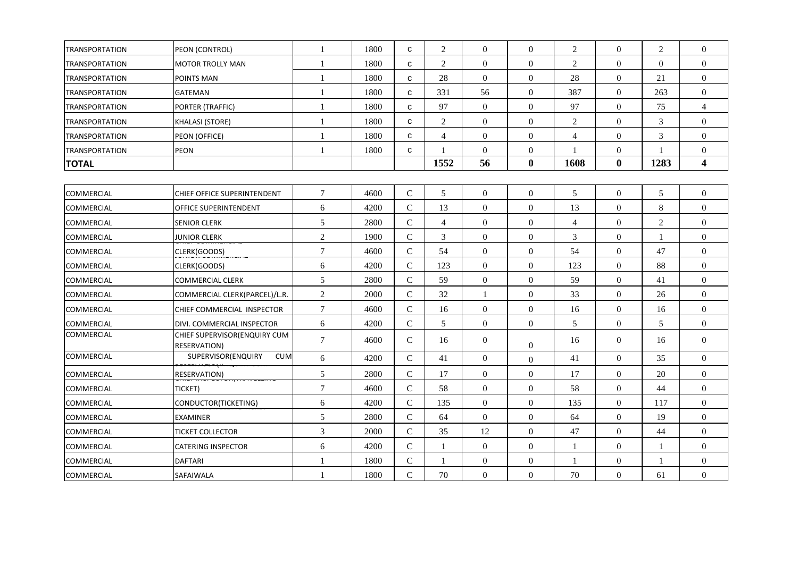| TRANSPORTATION        | PEON (CONTROL)                                      | $\mathbf{1}$    | 1800 | C              | $\overline{2}$ | $\mathbf{0}$     | $\overline{0}$   | $\mathfrak{2}$ | $\Omega$         | $\overline{2}$ | $\overline{0}$          |
|-----------------------|-----------------------------------------------------|-----------------|------|----------------|----------------|------------------|------------------|----------------|------------------|----------------|-------------------------|
| <b>TRANSPORTATION</b> | MOTOR TROLLY MAN                                    | $\mathbf{1}$    | 1800 | C              | $\overline{2}$ | $\mathbf{0}$     | $\overline{0}$   | $\sqrt{2}$     | $\overline{0}$   | $\overline{0}$ | $\boldsymbol{0}$        |
| <b>TRANSPORTATION</b> | <b>POINTS MAN</b>                                   | $\mathbf{1}$    | 1800 | C              | 28             | $\mathbf{0}$     | $\overline{0}$   | 28             | $\overline{0}$   | 21             | $\overline{0}$          |
| <b>TRANSPORTATION</b> | <b>GATEMAN</b>                                      | $\mathbf{1}$    | 1800 | $\mathbf{C}$   | 331            | 56               | $\mathbf{0}$     | 387            | $\mathbf{0}$     | 263            | $\overline{0}$          |
| <b>TRANSPORTATION</b> | PORTER (TRAFFIC)                                    | 1               | 1800 | $\mathbf{C}$   | 97             | $\boldsymbol{0}$ | $\boldsymbol{0}$ | 97             | $\boldsymbol{0}$ | 75             | $\overline{4}$          |
| <b>TRANSPORTATION</b> | <b>KHALASI (STORE)</b>                              | $\mathbf{1}$    | 1800 | C              | $\overline{2}$ | $\theta$         | $\theta$         | $\overline{2}$ | $\Omega$         | $\overline{3}$ | $\overline{0}$          |
| <b>TRANSPORTATION</b> | PEON (OFFICE)                                       | $\mathbf{1}$    | 1800 | C              | $\overline{4}$ | $\boldsymbol{0}$ | $\overline{0}$   | $\overline{4}$ | $\boldsymbol{0}$ | $\mathfrak{Z}$ | $\boldsymbol{0}$        |
| <b>TRANSPORTATION</b> | PEON                                                | 1               | 1800 | $\mathbf{C}$   | -1             | $\boldsymbol{0}$ | $\boldsymbol{0}$ | -1             | $\boldsymbol{0}$ |                | $\boldsymbol{0}$        |
| <b>TOTAL</b>          |                                                     |                 |      |                | 1552           | 56               | $\bf{0}$         | 1608           | $\bf{0}$         | 1283           | $\overline{\mathbf{4}}$ |
|                       |                                                     |                 |      |                |                |                  |                  |                |                  |                |                         |
| <b>COMMERCIAL</b>     | <b>CHIEF OFFICE SUPERINTENDENT</b>                  | $\tau$          | 4600 | $\mathsf{C}$   | 5              | $\mathbf{0}$     | $\overline{0}$   | 5              | $\overline{0}$   | 5              | $\overline{0}$          |
| COMMERCIAL            | OFFICE SUPERINTENDENT                               | 6               | 4200 | ${\bf C}$      | 13             | $\boldsymbol{0}$ | $\boldsymbol{0}$ | 13             | $\boldsymbol{0}$ | $\,8\,$        | $\overline{0}$          |
| COMMERCIAL            | <b>SENIOR CLERK</b>                                 | $\sqrt{5}$      | 2800 | ${\bf C}$      | $\overline{4}$ | $\mathbf{0}$     | $\overline{0}$   | $\overline{4}$ | $\overline{0}$   | $\overline{2}$ | $\overline{0}$          |
| <b>COMMERCIAL</b>     | <b>JUNIOR CLERK</b>                                 | $\overline{2}$  | 1900 | ${\bf C}$      | 3              | $\overline{0}$   | $\mathbf{0}$     | 3              | $\overline{0}$   | -1             | $\boldsymbol{0}$        |
| COMMERCIAL            | CLERK(GOODS)                                        | $\overline{7}$  | 4600 | $\overline{C}$ | 54             | $\mathbf{0}$     | $\mathbf{0}$     | 54             | $\mathbf{0}$     | 47             | $\overline{0}$          |
| COMMERCIAL            | CLERK(GOODS)                                        | 6               | 4200 | $\mathcal{C}$  | 123            | $\boldsymbol{0}$ | $\boldsymbol{0}$ | 123            | $\boldsymbol{0}$ | 88             | $\boldsymbol{0}$        |
| COMMERCIAL            | <b>COMMERCIAL CLERK</b>                             | $5\phantom{.0}$ | 2800 | $\mathbf C$    | 59             | $\mathbf{0}$     | $\mathbf{0}$     | 59             | $\overline{0}$   | 41             | $\overline{0}$          |
| COMMERCIAL            | COMMERCIAL CLERK(PARCEL)/L.R.                       | $\sqrt{2}$      | 2000 | $\mathsf C$    | 32             | $\mathbf{1}$     | $\boldsymbol{0}$ | 33             | $\boldsymbol{0}$ | 26             | $\boldsymbol{0}$        |
| <b>COMMERCIAL</b>     | CHIEF COMMERCIAL INSPECTOR                          | $\tau$          | 4600 | $\mathsf{C}$   | 16             | $\mathbf{0}$     | $\Omega$         | 16             | $\theta$         | 16             | $\overline{0}$          |
| COMMERCIAL            | DIVI. COMMERCIAL INSPECTOR                          | 6               | 4200 | ${\bf C}$      | 5              | $\mathbf{0}$     | $\mathbf{0}$     | 5              | $\mathbf{0}$     | 5              | $\overline{0}$          |
| COMMERCIAL            | CHIEF SUPERVISOR(ENQUIRY CUM<br><b>RESERVATION)</b> | $7\phantom{.0}$ | 4600 | $\mathsf{C}$   | 16             | $\boldsymbol{0}$ | $\Omega$         | 16             | $\boldsymbol{0}$ | 16             | $\boldsymbol{0}$        |
| <b>COMMERCIAL</b>     | SUPERVISOR(ENQUIRY<br><b>CUM</b>                    | 6               | 4200 | $\mathbf C$    | 41             | $\mathbf{0}$     | $\boldsymbol{0}$ | 41             | $\mathbf{0}$     | 35             | $\overline{0}$          |
| COMMERCIAL            | <b>RESERVATION)</b>                                 | 5               | 2800 | $\mathbf C$    | 17             | $\mathbf{0}$     | $\overline{0}$   | 17             | $\overline{0}$   | 20             | $\overline{0}$          |
| COMMERCIAL            | TICKET)                                             | $\overline{7}$  | 4600 | $\mathsf{C}$   | 58             | $\mathbf{0}$     | $\overline{0}$   | 58             | $\overline{0}$   | 44             | $\overline{0}$          |
| <b>COMMERCIAL</b>     | CONDUCTOR(TICKETING)                                | 6               | 4200 | ${\bf C}$      | 135            | $\mathbf{0}$     | $\overline{0}$   | 135            | $\overline{0}$   | 117            | $\overline{0}$          |
| COMMERCIAL            | <b>EXAMINER</b>                                     | 5               | 2800 | $\mathsf{C}$   | 64             | $\mathbf{0}$     | $\overline{0}$   | 64             | $\overline{0}$   | 19             | $\boldsymbol{0}$        |
| <b>COMMERCIAL</b>     | <b>TICKET COLLECTOR</b>                             | $\overline{3}$  | 2000 | ${\bf C}$      | 35             | 12               | $\mathbf{0}$     | 47             | $\overline{0}$   | 44             | $\overline{0}$          |
| COMMERCIAL            | <b>CATERING INSPECTOR</b>                           | 6               | 4200 | $\mathsf{C}$   | 1              | $\mathbf{0}$     | $\overline{0}$   | $\mathbf{1}$   | $\boldsymbol{0}$ | $\mathbf{1}$   | $\boldsymbol{0}$        |
| COMMERCIAL            | <b>DAFTARI</b>                                      | 1               | 1800 | $\mathcal{C}$  | 1              | $\boldsymbol{0}$ | $\mathbf{0}$     | 1              | $\mathbf{0}$     | 1              | $\boldsymbol{0}$        |
| <b>COMMERCIAL</b>     | SAFAIWALA                                           | $\mathbf{1}$    | 1800 | $\mathbf C$    | 70             | $\mathbf{0}$     | $\overline{0}$   | 70             | $\overline{0}$   | 61             | $\boldsymbol{0}$        |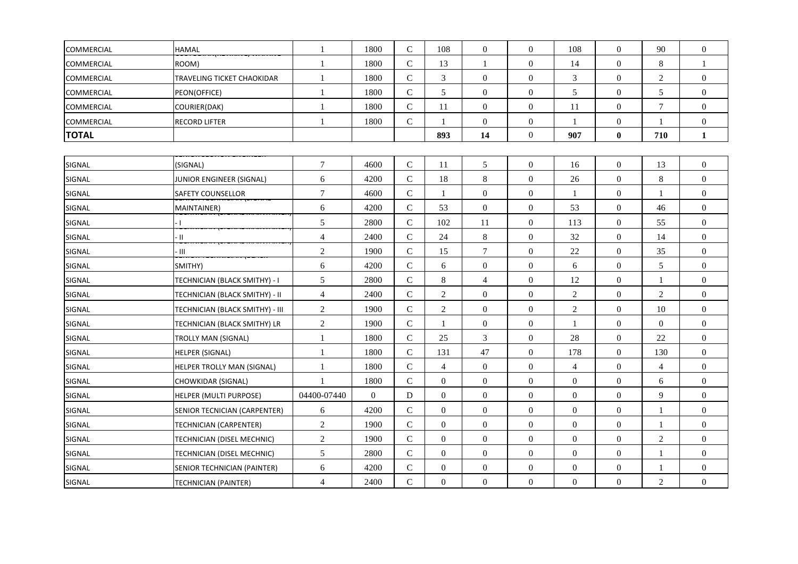| <b>COMMERCIAL</b> | <b>HAMAL</b>                    | 1                | 1800     | $\mathsf{C}$   | 108            | $\boldsymbol{0}$ | $\boldsymbol{0}$ | 108              | $\boldsymbol{0}$ | 90              | $\boldsymbol{0}$ |
|-------------------|---------------------------------|------------------|----------|----------------|----------------|------------------|------------------|------------------|------------------|-----------------|------------------|
| COMMERCIAL        | ROOM)                           | $\mathbf{1}$     | 1800     | $\mathbf C$    | 13             |                  | $\boldsymbol{0}$ | 14               | $\overline{0}$   | $\,8\,$         |                  |
| COMMERCIAL        | TRAVELING TICKET CHAOKIDAR      | $\mathbf{1}$     | 1800     | $\mathsf{C}$   | 3              | $\boldsymbol{0}$ | $\boldsymbol{0}$ | 3                | $\boldsymbol{0}$ | $\overline{2}$  | $\overline{0}$   |
| COMMERCIAL        | PEON(OFFICE)                    | $\mathbf{1}$     | 1800     | $\mathsf{C}$   | 5              | $\mathbf{0}$     | $\overline{0}$   | 5                | $\overline{0}$   | 5               | $\boldsymbol{0}$ |
| COMMERCIAL        | COURIER(DAK)                    | 1                | 1800     | ${\bf C}$      | 11             | $\boldsymbol{0}$ | $\boldsymbol{0}$ | 11               | $\mathbf{0}$     | $7\phantom{.0}$ | $\boldsymbol{0}$ |
| <b>COMMERCIAL</b> | <b>RECORD LIFTER</b>            | $\mathbf{1}$     | 1800     | ${\bf C}$      | $\mathbf{1}$   | $\boldsymbol{0}$ | $\boldsymbol{0}$ | $\mathbf{1}$     | $\mathbf{0}$     | 1               | $\boldsymbol{0}$ |
| <b>TOTAL</b>      |                                 |                  |          |                | 893            | 14               | $\boldsymbol{0}$ | 907              | $\bf{0}$         | 710             | $\mathbf{1}$     |
|                   |                                 |                  |          |                |                |                  |                  |                  |                  |                 |                  |
| SIGNAL            | (SIGNAL)                        | $\boldsymbol{7}$ | 4600     | $\mathsf C$    | 11             | $\mathfrak s$    | $\boldsymbol{0}$ | 16               | $\boldsymbol{0}$ | 13              | $\boldsymbol{0}$ |
| SIGNAL            | JUNIOR ENGINEER (SIGNAL)        | $\sqrt{6}$       | 4200     | $\mathsf C$    | 18             | $\,8\,$          | $\boldsymbol{0}$ | 26               | $\boldsymbol{0}$ | $\,8\,$         | $\boldsymbol{0}$ |
| SIGNAL            | SAFETY COUNSELLOR               | $\tau$           | 4600     | ${\bf C}$      | $\mathbf{1}$   | $\boldsymbol{0}$ | $\boldsymbol{0}$ | $\mathbf{1}$     | $\boldsymbol{0}$ | -1              | $\boldsymbol{0}$ |
| SIGNAL            | MAINTAINER)                     | 6                | 4200     | $\mathbf C$    | 53             | $\overline{0}$   | $\boldsymbol{0}$ | 53               | $\mathbf{0}$     | 46              | $\overline{0}$   |
| SIGNAL            |                                 | $\mathfrak s$    | 2800     | $\mathsf C$    | 102            | 11               | $\boldsymbol{0}$ | 113              | $\mathbf{0}$     | 55              | $\boldsymbol{0}$ |
| SIGNAL            | $\cdot$ II                      | $\overline{4}$   | 2400     | $\mathsf{C}$   | 24             | $8\,$            | $\boldsymbol{0}$ | 32               | $\overline{0}$   | 14              | $\boldsymbol{0}$ |
| SIGNAL            | Ш                               | $\overline{2}$   | 1900     | $\mathbf C$    | 15             | $\overline{7}$   | $\boldsymbol{0}$ | $22\,$           | $\boldsymbol{0}$ | 35              | $\boldsymbol{0}$ |
| SIGNAL            | SMITHY)                         | $6\,$            | 4200     | $\mathbf C$    | 6              | $\mathbf{0}$     | $\boldsymbol{0}$ | 6                | $\overline{0}$   | 5               | $\overline{0}$   |
| SIGNAL            | TECHNICIAN (BLACK SMITHY) - I   | $\sqrt{5}$       | 2800     | $\mathsf{C}$   | $8\,$          | $\overline{4}$   | $\boldsymbol{0}$ | 12               | $\boldsymbol{0}$ | $\overline{1}$  | $\overline{0}$   |
| SIGNAL            | TECHNICIAN (BLACK SMITHY) - II  | $\overline{4}$   | 2400     | $\mathbf C$    | $\overline{c}$ | $\boldsymbol{0}$ | $\boldsymbol{0}$ | $\overline{c}$   | $\boldsymbol{0}$ | $\overline{2}$  | $\boldsymbol{0}$ |
| SIGNAL            | TECHNICIAN (BLACK SMITHY) - III | $\sqrt{2}$       | 1900     | $\mathsf{C}$   | $\overline{c}$ | $\mathbf{0}$     | $\boldsymbol{0}$ | $\mathfrak{2}$   | $\overline{0}$   | $10\,$          | $\boldsymbol{0}$ |
| SIGNAL            | TECHNICIAN (BLACK SMITHY) LR    | $\sqrt{2}$       | 1900     | $\mathbf C$    |                | $\overline{0}$   | $\boldsymbol{0}$ | $\mathbf{1}$     | $\boldsymbol{0}$ | $\overline{0}$  | $\boldsymbol{0}$ |
| SIGNAL            | TROLLY MAN (SIGNAL)             | $\mathbf{1}$     | 1800     | $\mathbf C$    | 25             | 3                | $\mathbf{0}$     | 28               | $\overline{0}$   | 22              | $\overline{0}$   |
| SIGNAL            | <b>HELPER (SIGNAL)</b>          | 1                | 1800     | $\mathbf C$    | 131            | 47               | $\boldsymbol{0}$ | 178              | $\overline{0}$   | 130             | $\boldsymbol{0}$ |
| SIGNAL            | HELPER TROLLY MAN (SIGNAL)      | 1                | 1800     | ${\bf C}$      | $\overline{4}$ | $\boldsymbol{0}$ | $\boldsymbol{0}$ | $\overline{4}$   | $\boldsymbol{0}$ | $\overline{4}$  | $\overline{0}$   |
| SIGNAL            | CHOWKIDAR (SIGNAL)              | $\mathbf{1}$     | 1800     | $\mathsf{C}$   | $\overline{0}$ | $\mathbf{0}$     | $\overline{0}$   | $\mathbf{0}$     | $\overline{0}$   | 6               | $\boldsymbol{0}$ |
| SIGNAL            | HELPER (MULTI PURPOSE)          | 04400-07440      | $\Omega$ | D              | $\Omega$       | $\mathbf{0}$     | $\boldsymbol{0}$ | $\mathbf{0}$     | $\overline{0}$   | 9               | $\boldsymbol{0}$ |
| SIGNAL            | SENIOR TECNICIAN (CARPENTER)    | 6                | 4200     | $\mathsf{C}$   | $\overline{0}$ | $\boldsymbol{0}$ | $\boldsymbol{0}$ | $\boldsymbol{0}$ | $\mathbf{0}$     | 1               | $\boldsymbol{0}$ |
| SIGNAL            | TECHNICIAN (CARPENTER)          | $\overline{2}$   | 1900     | $\mathsf{C}$   | $\Omega$       | $\mathbf{0}$     | $\boldsymbol{0}$ | $\boldsymbol{0}$ | $\overline{0}$   | 1               | $\overline{0}$   |
| SIGNAL            | TECHNICIAN (DISEL MECHNIC)      | $\sqrt{2}$       | 1900     | ${\bf C}$      | $\overline{0}$ | $\mathbf{0}$     | $\boldsymbol{0}$ | $\overline{0}$   | $\boldsymbol{0}$ | $\overline{2}$  | $\overline{0}$   |
| SIGNAL            | TECHNICIAN (DISEL MECHNIC)      | 5                | 2800     | $\overline{C}$ | $\Omega$       | $\mathbf{0}$     | $\boldsymbol{0}$ | $\mathbf{0}$     | $\mathbf{0}$     | $\mathbf{1}$    | $\overline{0}$   |
| SIGNAL            | SENIOR TECHNICIAN (PAINTER)     | 6                | 4200     | $\mathsf C$    | $\overline{0}$ | $\boldsymbol{0}$ | $\boldsymbol{0}$ | $\mathbf{0}$     | $\boldsymbol{0}$ | $\mathbf{1}$    | $\boldsymbol{0}$ |
| SIGNAL            | TECHNICIAN (PAINTER)            | $\overline{4}$   | 2400     | ${\bf C}$      | $\overline{0}$ | $\mathbf{0}$     | $\overline{0}$   | $\overline{0}$   | $\overline{0}$   | $\overline{2}$  | $\boldsymbol{0}$ |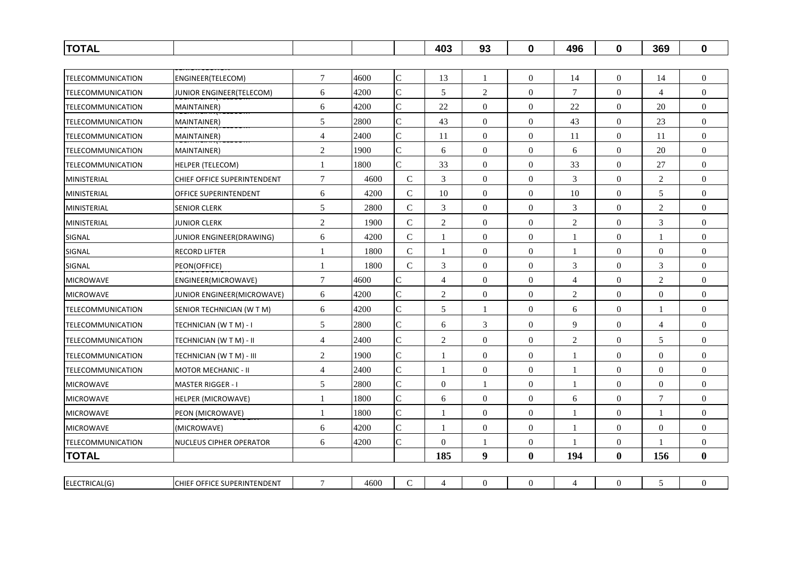| <b>TOTAL</b>             |                                |                |      |                | 403            | 93               | $\mathbf 0$      | 496            | $\mathbf 0$      | 369              | $\mathbf 0$      |
|--------------------------|--------------------------------|----------------|------|----------------|----------------|------------------|------------------|----------------|------------------|------------------|------------------|
|                          |                                |                |      |                |                |                  |                  |                |                  |                  |                  |
| TELECOMMUNICATION        | ENGINEER(TELECOM)              | $\tau$         | 4600 | $\mathsf{C}$   | 13             | $\mathbf{1}$     | $\boldsymbol{0}$ | 14             | $\mathbf{0}$     | 14               | $\overline{0}$   |
| TELECOMMUNICATION        | JUNIOR ENGINEER(TELECOM)       | 6              | 4200 | $\overline{C}$ | 5              | $\overline{2}$   | $\Omega$         | $\tau$         | $\overline{0}$   | 4                | $\Omega$         |
| TELECOMMUNICATION        | <b>MAINTAINER)</b>             | 6              | 4200 | $\mathsf{C}$   | 22             | $\mathbf{0}$     | $\boldsymbol{0}$ | 22             | $\overline{0}$   | 20               | $\overline{0}$   |
| <b>TELECOMMUNICATION</b> | MAINTAINER)                    | 5              | 2800 | $\overline{C}$ | 43             | $\overline{0}$   | $\mathbf{0}$     | 43             | $\overline{0}$   | 23               | $\mathbf{0}$     |
| TELECOMMUNICATION        | MAINTAINER)                    | $\overline{4}$ | 2400 | $\mathbf C$    | 11             | $\theta$         | $\mathbf{0}$     | 11             | $\mathbf{0}$     | 11               | $\overline{0}$   |
| <b>TELECOMMUNICATION</b> | MAINTAINER)                    | $\overline{c}$ | 1900 | $\overline{C}$ | 6              | $\boldsymbol{0}$ | $\boldsymbol{0}$ | 6              | $\boldsymbol{0}$ | 20               | $\overline{0}$   |
| TELECOMMUNICATION        | <b>HELPER (TELECOM)</b>        | 1              | 1800 | $\overline{C}$ | 33             | $\overline{0}$   | $\Omega$         | 33             | $\overline{0}$   | 27               | $\Omega$         |
| MINISTERIAL              | CHIEF OFFICE SUPERINTENDENT    | 7              | 4600 | $\mathsf{C}$   | 3              | $\theta$         | $\mathbf{0}$     | 3              | $\overline{0}$   | 2                | $\overline{0}$   |
| MINISTERIAL              | <b>OFFICE SUPERINTENDENT</b>   | 6              | 4200 | $\mathsf C$    | 10             | $\mathbf{0}$     | $\mathbf{0}$     | 10             | $\overline{0}$   | $\mathfrak s$    | $\theta$         |
| MINISTERIAL              | <b>SENIOR CLERK</b>            | 5              | 2800 | $\mathcal{C}$  | $\mathfrak{Z}$ | $\mathbf{0}$     | $\mathbf{0}$     | $\mathfrak{Z}$ | $\overline{0}$   | 2                | $\mathbf{0}$     |
| MINISTERIAL              | <b>JUNIOR CLERK</b>            | $\overline{c}$ | 1900 | $\mathsf{C}$   | $\overline{2}$ | $\boldsymbol{0}$ | $\boldsymbol{0}$ | 2              | $\mathbf{0}$     | 3                | $\overline{0}$   |
| SIGNAL                   | JUNIOR ENGINEER(DRAWING)       | 6              | 4200 | $\mathcal{C}$  | $\mathbf{1}$   | $\overline{0}$   | $\overline{0}$   | $\mathbf{1}$   | $\overline{0}$   | $\mathbf{1}$     | $\theta$         |
| SIGNAL                   | <b>RECORD LIFTER</b>           | 1              | 1800 | C              | 1              | $\theta$         | $\overline{0}$   | 1              | $\mathbf{0}$     | $\overline{0}$   | $\overline{0}$   |
| SIGNAL                   | PEON(OFFICE)                   | 1              | 1800 | $\mathsf{C}$   | 3              | $\Omega$         | $\Omega$         | 3              | $\overline{0}$   | 3                | $\theta$         |
| <b>MICROWAVE</b>         | ENGINEER(MICROWAVE)            | 7              | 4600 | $\mathsf{C}$   | $\overline{4}$ | $\mathbf{0}$     | $\overline{0}$   | $\overline{4}$ | $\overline{0}$   | 2                | $\overline{0}$   |
| <b>MICROWAVE</b>         | JUNIOR ENGINEER(MICROWAVE)     | 6              | 4200 | $\mathsf{C}$   | $\overline{2}$ | $\mathbf{0}$     | $\boldsymbol{0}$ | 2              | $\overline{0}$   | $\overline{0}$   | $\mathbf{0}$     |
| <b>TELECOMMUNICATION</b> | SENIOR TECHNICIAN (W T M)      | 6              | 4200 | $\overline{C}$ | 5              | $\overline{1}$   | $\overline{0}$   | 6              | $\overline{0}$   | $\mathbf{1}$     | $\overline{0}$   |
| <b>TELECOMMUNICATION</b> | TECHNICIAN (W T M) - I         | 5              | 2800 | C              | 6              | 3                | $\boldsymbol{0}$ | 9              | $\overline{0}$   | 4                | $\overline{0}$   |
| <b>TELECOMMUNICATION</b> | TECHNICIAN (W T M) - II        | $\overline{4}$ | 2400 | $\overline{C}$ | 2              | $\mathbf{0}$     | $\mathbf{0}$     | 2              | $\overline{0}$   | 5                | $\overline{0}$   |
| TELECOMMUNICATION        | TECHNICIAN (W T M) - III       | $\overline{c}$ | 1900 | $\mathsf{C}$   | 1              | $\boldsymbol{0}$ | $\boldsymbol{0}$ | 1              | $\overline{0}$   | $\overline{0}$   | $\boldsymbol{0}$ |
| TELECOMMUNICATION        | <b>MOTOR MECHANIC - II</b>     | $\overline{4}$ | 2400 | $\overline{C}$ | 1              | $\mathbf{0}$     | $\overline{0}$   | $\overline{1}$ | $\overline{0}$   | $\overline{0}$   | $\overline{0}$   |
| <b>MICROWAVE</b>         | <b>MASTER RIGGER - I</b>       | 5              | 2800 | $\overline{C}$ | $\overline{0}$ | $\overline{1}$   | $\overline{0}$   | -1             | $\mathbf{0}$     | $\Omega$         | $\overline{0}$   |
| <b>MICROWAVE</b>         | <b>HELPER (MICROWAVE)</b>      | 1              | 1800 | $\overline{C}$ | 6              | $\overline{0}$   | $\overline{0}$   | 6              | $\overline{0}$   | $\tau$           | $\overline{0}$   |
| <b>MICROWAVE</b>         | PEON (MICROWAVE)               | -1             | 1800 | $\mathsf{C}$   | 1              | $\mathbf{0}$     | $\mathbf{0}$     |                | $\overline{0}$   | 1                | $\overline{0}$   |
| <b>MICROWAVE</b>         | (MICROWAVE)                    | 6              | 4200 | $\overline{C}$ | 1              | $\boldsymbol{0}$ | $\boldsymbol{0}$ | $\mathbf{1}$   | $\boldsymbol{0}$ | $\boldsymbol{0}$ | $\boldsymbol{0}$ |
| <b>TELECOMMUNICATION</b> | <b>NUCLEUS CIPHER OPERATOR</b> | 6              | 4200 | $\overline{C}$ | $\overline{0}$ | $\overline{1}$   | $\boldsymbol{0}$ | $\mathbf{1}$   | $\mathbf{0}$     |                  | $\overline{0}$   |
| <b>TOTAL</b>             |                                |                |      |                | 185            | 9                | $\bf{0}$         | 194            | $\bf{0}$         | 156              | $\bf{0}$         |
|                          |                                |                |      |                |                |                  |                  |                |                  |                  |                  |
| ELECTRICAL(G)            | CHIEF OFFICE SUPERINTENDENT    | $\tau$         | 4600 | $\mathsf{C}$   | $\overline{4}$ | $\overline{0}$   | $\overline{0}$   | $\overline{4}$ | $\mathbf{0}$     | 5                | $\overline{0}$   |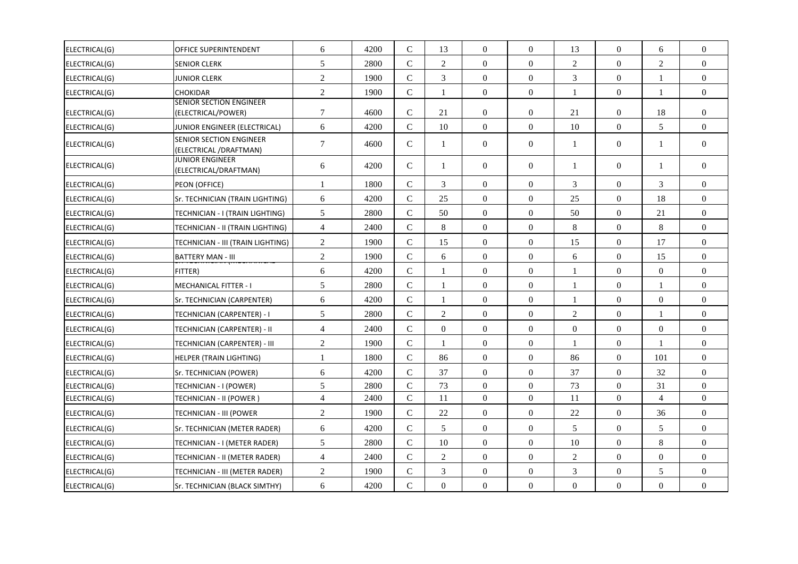| ELECTRICAL(G) | <b>OFFICE SUPERINTENDENT</b>                             | 6                        | 4200 | $\mathcal{C}$ | 13             | $\overline{0}$   | $\overline{0}$   | 13             | $\overline{0}$   | 6              | $\overline{0}$   |
|---------------|----------------------------------------------------------|--------------------------|------|---------------|----------------|------------------|------------------|----------------|------------------|----------------|------------------|
| ELECTRICAL(G) | <b>SENIOR CLERK</b>                                      | 5                        | 2800 | $\mathbf{C}$  | $\overline{2}$ | $\Omega$         | $\Omega$         | $\overline{2}$ | $\Omega$         | $\overline{2}$ | $\overline{0}$   |
| ELECTRICAL(G) | <b>JUNIOR CLERK</b>                                      | $\mathfrak{2}$           | 1900 | $\mathsf{C}$  | 3              | $\mathbf{0}$     | $\overline{0}$   | 3              | $\overline{0}$   | 1              | $\overline{0}$   |
| ELECTRICAL(G) | <b>CHOKIDAR</b>                                          | $\overline{c}$           | 1900 | $\mathbf C$   | $\mathbf{1}$   | $\Omega$         | $\Omega$         | $\mathbf{1}$   | $\theta$         | $\mathbf{1}$   | $\overline{0}$   |
| ELECTRICAL(G) | <b>SENIOR SECTION ENGINEER</b><br>(ELECTRICAL/POWER)     | $\tau$                   | 4600 | $\mathsf{C}$  | 21             | $\overline{0}$   | $\overline{0}$   | 21             | $\overline{0}$   | 18             | $\overline{0}$   |
| ELECTRICAL(G) | JUNIOR ENGINEER (ELECTRICAL)                             | 6                        | 4200 | $\mathcal{C}$ | 10             | $\Omega$         | $\overline{0}$   | 10             | $\theta$         | 5              | $\overline{0}$   |
| ELECTRICAL(G) | <b>SENIOR SECTION ENGINEER</b><br>(ELECTRICAL /DRAFTMAN) | $\tau$                   | 4600 | $\mathbf C$   | $\mathbf{1}$   | $\theta$         | $\theta$         | $\mathbf{1}$   | $\Omega$         | $\mathbf{1}$   | $\overline{0}$   |
| ELECTRICAL(G) | <b>JUNIOR ENGINEER</b><br>(ELECTRICAL/DRAFTMAN)          | 6                        | 4200 | $\mathsf{C}$  | 1              | $\Omega$         | $\overline{0}$   | $\mathbf{1}$   | $\overline{0}$   | $\mathbf{1}$   | $\overline{0}$   |
| ELECTRICAL(G) | PEON (OFFICE)                                            | $\mathbf{1}$             | 1800 | $\mathsf{C}$  | 3              | $\Omega$         | $\Omega$         | 3              | $\Omega$         | 3              | $\Omega$         |
| ELECTRICAL(G) | Sr. TECHNICIAN (TRAIN LIGHTING)                          | 6                        | 4200 | $\mathsf{C}$  | 25             | $\overline{0}$   | $\overline{0}$   | 25             | $\overline{0}$   | 18             | $\boldsymbol{0}$ |
| ELECTRICAL(G) | TECHNICIAN - I (TRAIN LIGHTING)                          | 5                        | 2800 | $\mathsf{C}$  | 50             | $\Omega$         | $\theta$         | 50             | $\theta$         | 21             | $\boldsymbol{0}$ |
| ELECTRICAL(G) | TECHNICIAN - II (TRAIN LIGHTING)                         | $\overline{\mathcal{L}}$ | 2400 | $\mathbf C$   | 8              | $\Omega$         | $\overline{0}$   | 8              | $\theta$         | 8              | $\overline{0}$   |
| ELECTRICAL(G) | TECHNICIAN - III (TRAIN LIGHTING)                        | 2                        | 1900 | $\mathsf{C}$  | 15             | $\Omega$         | $\mathbf{0}$     | 15             | $\overline{0}$   | 17             | $\overline{0}$   |
| ELECTRICAL(G) | <b>BATTERY MAN - III</b>                                 | $\overline{2}$           | 1900 | $\mathbf{C}$  | 6              | $\Omega$         | $\overline{0}$   | 6              | $\overline{0}$   | 15             | $\overline{0}$   |
| ELECTRICAL(G) | FITTER)                                                  | 6                        | 4200 | $\mathbf C$   |                | $\Omega$         | $\Omega$         | 1              | $\theta$         | $\theta$       | $\boldsymbol{0}$ |
| ELECTRICAL(G) | <b>MECHANICAL FITTER - I</b>                             | 5                        | 2800 | $\mathcal{C}$ | -1             | $\overline{0}$   | $\overline{0}$   | 1              | $\overline{0}$   | 1              | $\overline{0}$   |
| ELECTRICAL(G) | Sr. TECHNICIAN (CARPENTER)                               | 6                        | 4200 | $\mathcal{C}$ | $\mathbf{1}$   | $\Omega$         | $\Omega$         | $\mathbf{1}$   | $\Omega$         | $\Omega$       | $\overline{0}$   |
| ELECTRICAL(G) | TECHNICIAN (CARPENTER) - I                               | 5                        | 2800 | $\mathsf{C}$  | $\overline{2}$ | $\mathbf{0}$     | $\overline{0}$   | $\mathbf{2}$   | $\overline{0}$   | 1              | $\overline{0}$   |
| ELECTRICAL(G) | TECHNICIAN (CARPENTER) - II                              | $\overline{4}$           | 2400 | $\mathbf C$   | $\Omega$       | $\Omega$         | $\Omega$         | $\theta$       | $\theta$         | $\theta$       | $\Omega$         |
| ELECTRICAL(G) | TECHNICIAN (CARPENTER) - III                             | $\mathfrak{2}$           | 1900 | $\mathbf C$   |                | $\mathbf{0}$     | $\overline{0}$   | 1              | $\overline{0}$   | $\mathbf{1}$   | $\overline{0}$   |
| ELECTRICAL(G) | <b>HELPER (TRAIN LIGHTING)</b>                           | $\mathbf{1}$             | 1800 | $\mathbf C$   | 86             | $\boldsymbol{0}$ | $\boldsymbol{0}$ | 86             | $\boldsymbol{0}$ | 101            | $\overline{0}$   |
| ELECTRICAL(G) | Sr. TECHNICIAN (POWER)                                   | 6                        | 4200 | $\mathsf{C}$  | 37             | $\Omega$         | $\Omega$         | 37             | $\theta$         | 32             | $\overline{0}$   |
| ELECTRICAL(G) | TECHNICIAN - I (POWER)                                   | 5                        | 2800 | $\mathbf{C}$  | 73             | $\theta$         | $\Omega$         | 73             | $\theta$         | 31             | $\boldsymbol{0}$ |
| ELECTRICAL(G) | TECHNICIAN - II (POWER )                                 | $\overline{\mathcal{L}}$ | 2400 | $\mathbf C$   | 11             | $\mathbf{0}$     | $\overline{0}$   | 11             | $\overline{0}$   | $\overline{4}$ | $\boldsymbol{0}$ |
| ELECTRICAL(G) | <b>TECHNICIAN - III (POWER</b>                           | $\overline{2}$           | 1900 | $\mathsf{C}$  | 22             | $\overline{0}$   | $\overline{0}$   | 22             | $\overline{0}$   | 36             | $\overline{0}$   |
| ELECTRICAL(G) | Sr. TECHNICIAN (METER RADER)                             | 6                        | 4200 | $\mathbf C$   | 5              | $\mathbf{0}$     | $\overline{0}$   | 5              | $\overline{0}$   | 5              | $\overline{0}$   |
| ELECTRICAL(G) | TECHNICIAN - I (METER RADER)                             | 5                        | 2800 | $\mathsf{C}$  | 10             | $\overline{0}$   | $\overline{0}$   | 10             | $\overline{0}$   | $8\,$          | $\overline{0}$   |
| ELECTRICAL(G) | TECHNICIAN - II (METER RADER)                            | $\overline{4}$           | 2400 | $\mathsf{C}$  | 2              | $\Omega$         | $\boldsymbol{0}$ | $\mathbf{2}$   | $\Omega$         | $\Omega$       | $\overline{0}$   |
| ELECTRICAL(G) | TECHNICIAN - III (METER RADER)                           | 2                        | 1900 | $\mathsf{C}$  | 3              | $\Omega$         | $\overline{0}$   | 3              | $\overline{0}$   | 5              | $\overline{0}$   |
| ELECTRICAL(G) | Sr. TECHNICIAN (BLACK SIMTHY)                            | 6                        | 4200 | $\mathbf C$   | $\overline{0}$ | $\Omega$         | $\overline{0}$   | $\overline{0}$ | $\overline{0}$   | $\Omega$       | $\overline{0}$   |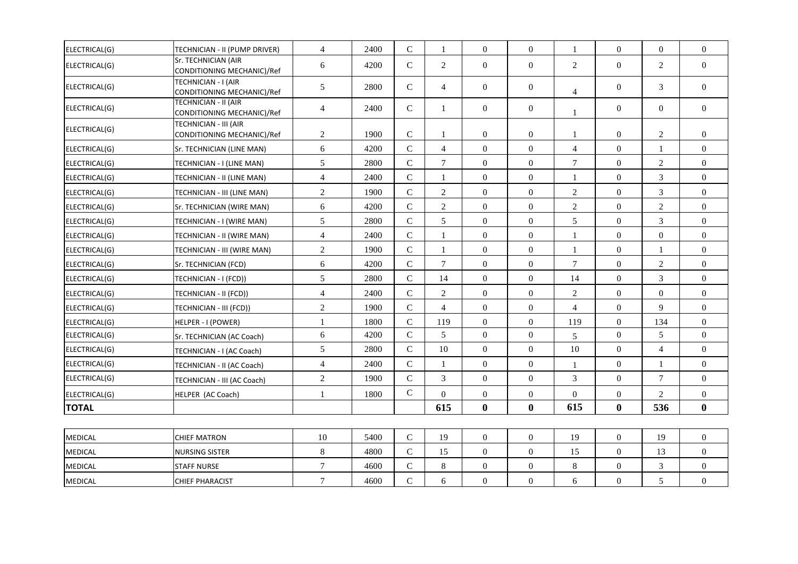| ELECTRICAL(G)  | TECHNICIAN - II (PUMP DRIVER)                       | $\overline{4}$   | 2400 | $\mathbf C$  | 1              | $\boldsymbol{0}$ | $\boldsymbol{0}$ | 1                | $\mathbf{0}$     | $\boldsymbol{0}$ | $\boldsymbol{0}$ |
|----------------|-----------------------------------------------------|------------------|------|--------------|----------------|------------------|------------------|------------------|------------------|------------------|------------------|
| ELECTRICAL(G)  | Sr. TECHNICIAN (AIR<br>CONDITIONING MECHANIC)/Ref   | 6                | 4200 | $\mathbf C$  | $\overline{2}$ | $\boldsymbol{0}$ | $\overline{0}$   | $\mathbf{2}$     | $\boldsymbol{0}$ | 2                | $\overline{0}$   |
| ELECTRICAL(G)  | TECHNICIAN - I (AIR<br>CONDITIONING MECHANIC)/Ref   | 5                | 2800 | $\mathsf{C}$ | $\overline{4}$ | $\overline{0}$   | $\boldsymbol{0}$ | $\overline{4}$   | $\overline{0}$   | 3                | $\overline{0}$   |
| ELECTRICAL(G)  | TECHNICIAN - II (AIR<br>CONDITIONING MECHANIC)/Ref  | $\overline{4}$   | 2400 | $\mathsf{C}$ | $\mathbf{1}$   | $\overline{0}$   | $\overline{0}$   | $\mathbf{1}$     | $\overline{0}$   | $\Omega$         | $\overline{0}$   |
| ELECTRICAL(G)  | TECHNICIAN - III (AIR<br>CONDITIONING MECHANIC)/Ref | 2                | 1900 | ${\bf C}$    | 1              | $\overline{0}$   | $\overline{0}$   | $\mathbf{1}$     | $\overline{0}$   | 2                | $\overline{0}$   |
| ELECTRICAL(G)  | Sr. TECHNICIAN (LINE MAN)                           | 6                | 4200 | $\mathbf C$  | $\overline{4}$ | $\mathbf{0}$     | $\overline{0}$   | $\overline{4}$   | $\overline{0}$   | $\mathbf{1}$     | $\overline{0}$   |
| ELECTRICAL(G)  | TECHNICIAN - I (LINE MAN)                           | 5                | 2800 | $\mathbf C$  | $\tau$         | $\boldsymbol{0}$ | $\boldsymbol{0}$ | $\boldsymbol{7}$ | $\mathbf{0}$     | $\overline{2}$   | $\overline{0}$   |
| ELECTRICAL(G)  | TECHNICIAN - II (LINE MAN)                          | $\overline{4}$   | 2400 | $\mathsf{C}$ | 1              | $\overline{0}$   | $\mathbf{0}$     | 1                | $\overline{0}$   | $\mathfrak{Z}$   | $\overline{0}$   |
| ELECTRICAL(G)  | TECHNICIAN - III (LINE MAN)                         | $\overline{2}$   | 1900 | $\mathbf C$  | $\overline{2}$ | $\overline{0}$   | $\boldsymbol{0}$ | $\sqrt{2}$       | $\overline{0}$   | $\mathfrak{Z}$   | $\boldsymbol{0}$ |
| ELECTRICAL(G)  | Sr. TECHNICIAN (WIRE MAN)                           | 6                | 4200 | $\mathbf C$  | $\overline{2}$ | $\overline{0}$   | $\overline{0}$   | $\mathbf{2}$     | $\overline{0}$   | $\overline{2}$   | $\boldsymbol{0}$ |
| ELECTRICAL(G)  | TECHNICIAN - I (WIRE MAN)                           | 5                | 2800 | ${\bf C}$    | 5              | $\overline{0}$   | $\mathbf{0}$     | 5                | $\overline{0}$   | $\mathfrak{Z}$   | $\boldsymbol{0}$ |
| ELECTRICAL(G)  | TECHNICIAN - II (WIRE MAN)                          | $\overline{4}$   | 2400 | $\mathsf{C}$ | 1              | $\mathbf{0}$     | $\mathbf{0}$     | 1                | $\overline{0}$   | $\overline{0}$   | $\boldsymbol{0}$ |
| ELECTRICAL(G)  | TECHNICIAN - III (WIRE MAN)                         | $\overline{2}$   | 1900 | $\mathsf{C}$ | 1              | $\Omega$         | $\Omega$         | $\mathbf{1}$     | $\Omega$         | $\mathbf{1}$     | $\overline{0}$   |
| ELECTRICAL(G)  | Sr. TECHNICIAN (FCD)                                | 6                | 4200 | ${\bf C}$    | $\overline{7}$ | $\overline{0}$   | $\boldsymbol{0}$ | $\overline{7}$   | $\boldsymbol{0}$ | $\overline{c}$   | $\boldsymbol{0}$ |
| ELECTRICAL(G)  | TECHNICIAN - I (FCD))                               | 5                | 2800 | $\mathbf C$  | 14             | $\overline{0}$   | $\overline{0}$   | 14               | $\overline{0}$   | $\overline{3}$   | $\boldsymbol{0}$ |
| ELECTRICAL(G)  | TECHNICIAN - II (FCD))                              | $\overline{4}$   | 2400 | ${\bf C}$    | $\overline{c}$ | $\overline{0}$   | $\overline{0}$   | $\sqrt{2}$       | $\boldsymbol{0}$ | $\boldsymbol{0}$ | $\boldsymbol{0}$ |
| ELECTRICAL(G)  | TECHNICIAN - III (FCD))                             | $\overline{2}$   | 1900 | ${\bf C}$    | $\overline{4}$ | $\mathbf{0}$     | $\overline{0}$   | $\overline{4}$   | $\overline{0}$   | 9                | $\boldsymbol{0}$ |
| ELECTRICAL(G)  | HELPER - I (POWER)                                  | $\mathbf{1}$     | 1800 | $\mathsf{C}$ | 119            | $\Omega$         | $\mathbf{0}$     | 119              | $\Omega$         | 134              | $\overline{0}$   |
| ELECTRICAL(G)  | Sr. TECHNICIAN (AC Coach)                           | 6                | 4200 | $\mathsf{C}$ | 5              | $\overline{0}$   | $\overline{0}$   | 5                | $\overline{0}$   | $5\phantom{.0}$  | $\boldsymbol{0}$ |
| ELECTRICAL(G)  | TECHNICIAN - I (AC Coach)                           | 5                | 2800 | $\mathsf{C}$ | 10             | $\Omega$         | $\mathbf{0}$     | 10               | $\theta$         | $\overline{4}$   | $\overline{0}$   |
| ELECTRICAL(G)  | TECHNICIAN - II (AC Coach)                          | $\overline{4}$   | 2400 | $\mathsf{C}$ | 1              | $\mathbf{0}$     | $\mathbf{0}$     | $\mathbf{1}$     | $\overline{0}$   | $\mathbf{1}$     | $\overline{0}$   |
| ELECTRICAL(G)  | TECHNICIAN - III (AC Coach)                         | $\sqrt{2}$       | 1900 | ${\bf C}$    | 3              | $\overline{0}$   | $\overline{0}$   | 3                | $\overline{0}$   | $7\phantom{.0}$  | $\overline{0}$   |
| ELECTRICAL(G)  | HELPER (AC Coach)                                   | 1                | 1800 | $\mathbf C$  | $\Omega$       | $\mathbf{0}$     | $\boldsymbol{0}$ | $\boldsymbol{0}$ | $\overline{0}$   | $\overline{2}$   | $\overline{0}$   |
| <b>TOTAL</b>   |                                                     |                  |      |              | 615            | $\boldsymbol{0}$ | $\bf{0}$         | 615              | $\bf{0}$         | 536              | $\bf{0}$         |
|                |                                                     |                  |      |              |                |                  |                  |                  |                  |                  |                  |
| <b>MEDICAL</b> | <b>CHIEF MATRON</b>                                 | 10               | 5400 | ${\bf C}$    | 19             | $\overline{0}$   | $\boldsymbol{0}$ | 19               | $\mathbf{0}$     | 19               | $\overline{0}$   |
| <b>MEDICAL</b> | <b>NURSING SISTER</b>                               | $\,8\,$          | 4800 | ${\bf C}$    | 15             | $\theta$         | $\boldsymbol{0}$ | 15               | $\Omega$         | 13               | $\boldsymbol{0}$ |
| <b>MEDICAL</b> | <b>STAFF NURSE</b>                                  | $\boldsymbol{7}$ | 4600 | $\mathbf C$  | 8              | $\boldsymbol{0}$ | $\overline{0}$   | $\,8\,$          | $\overline{0}$   | $\mathfrak{Z}$   | $\boldsymbol{0}$ |
| <b>MEDICAL</b> | <b>CHIEF PHARACIST</b>                              | $\overline{7}$   | 4600 | $\mathbf C$  | 6              | $\overline{0}$   | $\boldsymbol{0}$ | 6                | $\boldsymbol{0}$ | 5                | $\boldsymbol{0}$ |